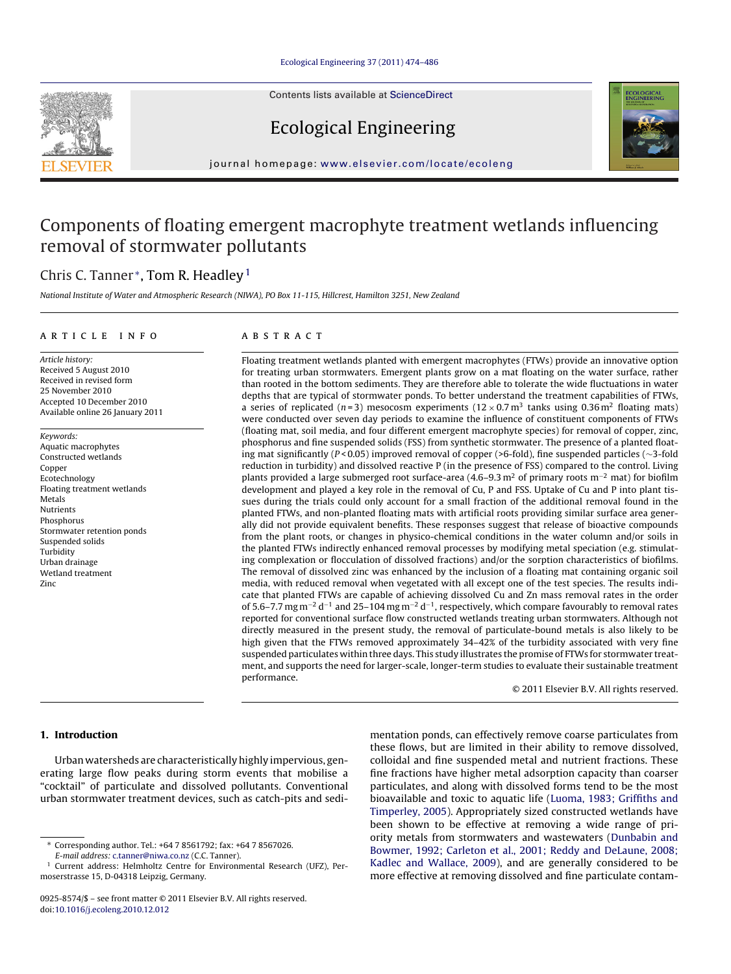#### [Ecological Engineering](dx.doi.org/10.1016/j.ecoleng.2010.12.012) 37 (2011) 474–486

Contents lists available at [ScienceDirect](http://www.sciencedirect.com/science/journal/09258574)

Ecological Engineering

journal homepage: [www.elsevier.com/locate/ecoleng](http://www.elsevier.com/locate/ecoleng)

# Components of floating emergent macrophyte treatment wetlands influencing removal of stormwater pollutants

# Chris C. Tanner<sup>∗</sup>, Tom R. Headlev<sup>1</sup>

National Institute of Water and Atmospheric Research (NIWA), PO Box 11-115, Hillcrest, Hamilton 3251, New Zealand

### article info

Article history: Received 5 August 2010 Received in revised form 25 November 2010 Accepted 10 December 2010 Available online 26 January 2011

Keywords: Aquatic macrophytes Constructed wetlands Copper Ecotechnology Floating treatment wetlands Metals Nutrients Phosphorus Stormwater retention ponds Suspended solids Turbidity Urban drainage Wetland treatment Zinc

### **ABSTRACT**

Floating treatment wetlands planted with emergent macrophytes (FTWs) provide an innovative option for treating urban stormwaters. Emergent plants grow on a mat floating on the water surface, rather than rooted in the bottom sediments. They are therefore able to tolerate the wide fluctuations in water depths that are typical of stormwater ponds. To better understand the treatment capabilities of FTWs, a series of replicated (n=3) mesocosm experiments ( $12 \times 0.7$  m<sup>3</sup> tanks using 0.36 m<sup>2</sup> floating mats) were conducted over seven day periods to examine the influence of constituent components of FTWs (floating mat, soil media, and four different emergent macrophyte species) for removal of copper, zinc, phosphorus and fine suspended solids (FSS) from synthetic stormwater. The presence of a planted floating mat significantly (P < 0.05) improved removal of copper (>6-fold), fine suspended particles (∼3-fold reduction in turbidity) and dissolved reactive P (in the presence of FSS) compared to the control. Living plants provided a large submerged root surface-area (4.6–9.3 m<sup>2</sup> of primary roots m<sup>-2</sup> mat) for biofilm development and played a key role in the removal of Cu, P and FSS. Uptake of Cu and P into plant tissues during the trials could only account for a small fraction of the additional removal found in the planted FTWs, and non-planted floating mats with artificial roots providing similar surface area generally did not provide equivalent benefits. These responses suggest that release of bioactive compounds from the plant roots, or changes in physico-chemical conditions in the water column and/or soils in the planted FTWs indirectly enhanced removal processes by modifying metal speciation (e.g. stimulating complexation or flocculation of dissolved fractions) and/or the sorption characteristics of biofilms. The removal of dissolved zinc was enhanced by the inclusion of a floating mat containing organic soil media, with reduced removal when vegetated with all except one of the test species. The results indicate that planted FTWs are capable of achieving dissolved Cu and Zn mass removal rates in the order of 5.6–7.7 mg m<sup>-2</sup> d<sup>-1</sup> and 25–104 mg m<sup>-2</sup> d<sup>-1</sup>, respectively, which compare favourably to removal rates reported for conventional surface flow constructed wetlands treating urban stormwaters. Although not directly measured in the present study, the removal of particulate-bound metals is also likely to be high given that the FTWs removed approximately 34–42% of the turbidity associated with very fine suspended particulates within three days. This study illustrates the promise of FTWs for stormwater treatment, and supports the need for larger-scale, longer-term studies to evaluate their sustainable treatment performance.

© 2011 Elsevier B.V. All rights reserved.

## **1. Introduction**

Urban watersheds are characteristically highly impervious, generating large flow peaks during storm events that mobilise a "cocktail" of particulate and dissolved pollutants. Conventional urban stormwater treatment devices, such as catch-pits and sedimentation ponds, can effectively remove coarse particulates from these flows, but are limited in their ability to remove dissolved, colloidal and fine suspended metal and nutrient fractions. These fine fractions have higher metal adsorption capacity than coarser particulates, and along with dissolved forms tend to be the most bioavailable and toxic to aquatic life ([Luoma, 1983; Griffiths and](#page-12-0) [Timperley, 2005\).](#page-12-0) Appropriately sized constructed wetlands have been shown to be effective at removing a wide range of priority metals from stormwaters and wastewaters ([Dunbabin and](#page-12-0) [Bowmer, 1992; Carleton et al., 2001; Reddy and DeLaune, 2008;](#page-12-0) [Kadlec and Wallace, 2009\),](#page-12-0) and are generally considered to be more effective at removing dissolved and fine particulate contam-





<sup>∗</sup> Corresponding author. Tel.: +64 7 8561792; fax: +64 7 8567026.

E-mail address: [c.tanner@niwa.co.nz](mailto:c.tanner@niwa.co.nz) (C.C. Tanner).

<sup>&</sup>lt;sup>1</sup> Current address: Helmholtz Centre for Environmental Research (UFZ), Permoserstrasse 15, D-04318 Leipzig, Germany.

<sup>0925-8574/\$ –</sup> see front matter © 2011 Elsevier B.V. All rights reserved. doi:[10.1016/j.ecoleng.2010.12.012](dx.doi.org/10.1016/j.ecoleng.2010.12.012)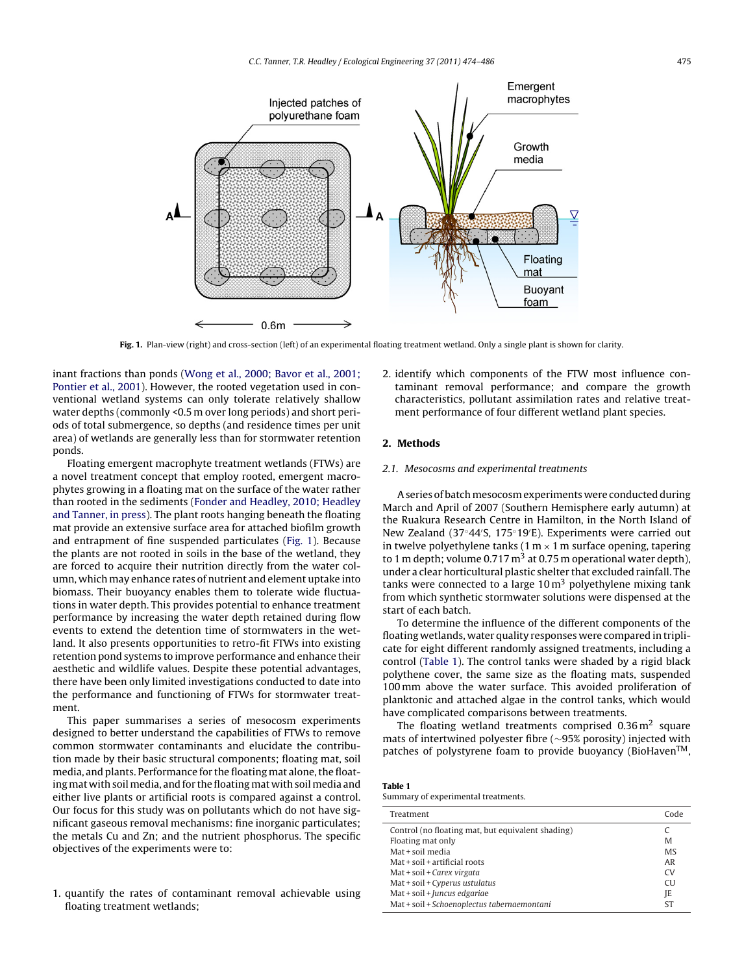<span id="page-1-0"></span>

**Fig. 1.** Plan-view (right) and cross-section (left) of an experimental floating treatment wetland. Only a single plant is shown for clarity.

inant fractions than ponds ([Wong et al., 2000; Bavor et al., 2001;](#page-12-0) [Pontier et al., 2001\).](#page-12-0) However, the rooted vegetation used in conventional wetland systems can only tolerate relatively shallow water depths (commonly <0.5 m over long periods) and short periods of total submergence, so depths (and residence times per unit area) of wetlands are generally less than for stormwater retention ponds.

Floating emergent macrophyte treatment wetlands (FTWs) are a novel treatment concept that employ rooted, emergent macrophytes growing in a floating mat on the surface of the water rather than rooted in the sediments [\(Fonder and Headley, 2010; Headley](#page-12-0) [and Tanner, in press\).](#page-12-0) The plant roots hanging beneath the floating mat provide an extensive surface area for attached biofilm growth and entrapment of fine suspended particulates (Fig. 1). Because the plants are not rooted in soils in the base of the wetland, they are forced to acquire their nutrition directly from the water column, which may enhance rates of nutrient and element uptake into biomass. Their buoyancy enables them to tolerate wide fluctuations in water depth. This provides potential to enhance treatment performance by increasing the water depth retained during flow events to extend the detention time of stormwaters in the wetland. It also presents opportunities to retro-fit FTWs into existing retention pond systems to improve performance and enhance their aesthetic and wildlife values. Despite these potential advantages, there have been only limited investigations conducted to date into the performance and functioning of FTWs for stormwater treatment.

This paper summarises a series of mesocosm experiments designed to better understand the capabilities of FTWs to remove common stormwater contaminants and elucidate the contribution made by their basic structural components; floating mat, soil media, and plants. Performance for the floating mat alone, the floating mat with soil media, and for the floating mat with soil media and either live plants or artificial roots is compared against a control. Our focus for this study was on pollutants which do not have significant gaseous removal mechanisms: fine inorganic particulates; the metals Cu and Zn; and the nutrient phosphorus. The specific objectives of the experiments were to:

1. quantify the rates of contaminant removal achievable using floating treatment wetlands;

2. identify which components of the FTW most influence contaminant removal performance; and compare the growth characteristics, pollutant assimilation rates and relative treatment performance of four different wetland plant species.

### **2. Methods**

### 2.1. Mesocosms and experimental treatments

A series of batch mesocosm experiments were conducted during March and April of 2007 (Southern Hemisphere early autumn) at the Ruakura Research Centre in Hamilton, in the North Island of New Zealand (37◦44 S, 175◦19 E). Experiments were carried out in twelve polyethylene tanks (1 m  $\times$  1 m surface opening, tapering to 1 m depth; volume  $0.717 \text{ m}^3$  at 0.75 m operational water depth), under a clear horticultural plastic shelter that excluded rainfall. The tanks were connected to a large  $10 \,\mathrm{m}^3$  polyethylene mixing tank from which synthetic stormwater solutions were dispensed at the start of each batch.

To determine the influence of the different components of the floating wetlands, water quality responses were compared in triplicate for eight different randomly assigned treatments, including a control (Table 1). The control tanks were shaded by a rigid black polythene cover, the same size as the floating mats, suspended 100 mm above the water surface. This avoided proliferation of planktonic and attached algae in the control tanks, which would have complicated comparisons between treatments.

The floating wetland treatments comprised  $0.36 \,\mathrm{m}^2$  square mats of intertwined polyester fibre (∼95% porosity) injected with patches of polystyrene foam to provide buoyancy (BioHaven<sup>TM</sup>,

| Table 1                             |
|-------------------------------------|
| Summary of experimental treatments. |

| Treatment                                         | Code      |
|---------------------------------------------------|-----------|
| Control (no floating mat, but equivalent shading) |           |
| Floating mat only                                 | M         |
| Mat + soil media                                  | <b>MS</b> |
| Mat + soil + artificial roots                     | AR        |
| Mat + soil + Carex virgata                        | <b>CV</b> |
| Mat + soil + Cyperus ustulatus                    | <b>CU</b> |
| Mat + soil + Juncus edgariae                      | JE        |
| Mat + soil + Schoenoplectus tabernaemontani       | ST        |
|                                                   |           |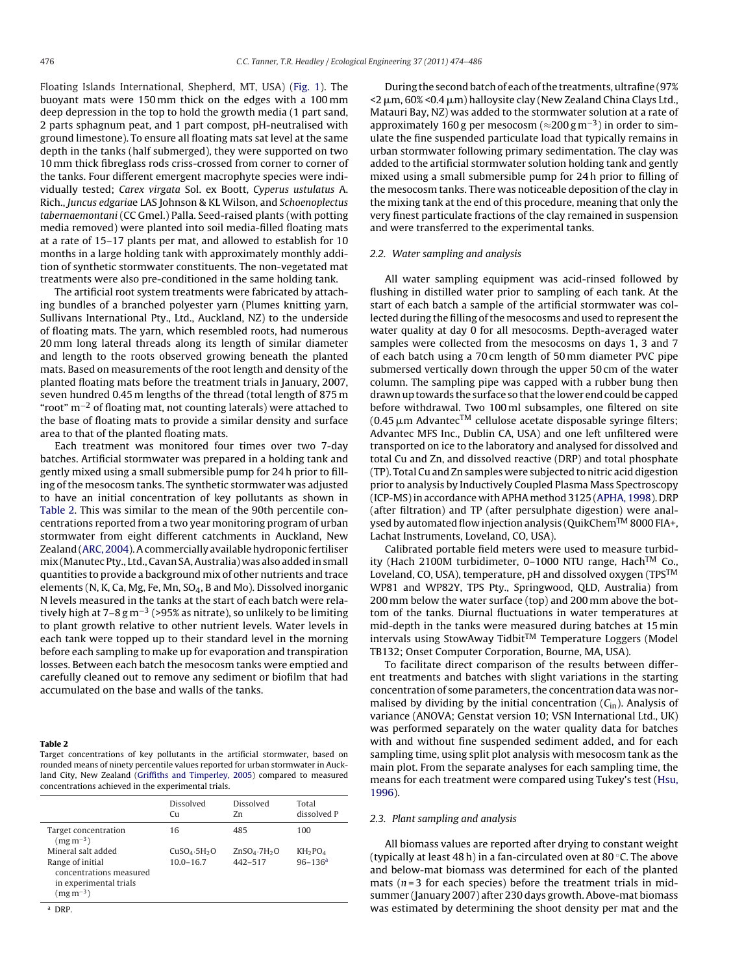Floating Islands International, Shepherd, MT, USA) [\(Fig. 1\)](#page-1-0). The buoyant mats were 150 mm thick on the edges with a 100 mm deep depression in the top to hold the growth media (1 part sand, 2 parts sphagnum peat, and 1 part compost, pH-neutralised with ground limestone). To ensure all floating mats sat level at the same depth in the tanks (half submerged), they were supported on two 10 mm thick fibreglass rods criss-crossed from corner to corner of the tanks. Four different emergent macrophyte species were individually tested; Carex virgata Sol. ex Boott, Cyperus ustulatus A. Rich., Juncus edgariae LAS Johnson & KL Wilson, and Schoenoplectus tabernaemontani (CC Gmel.) Palla. Seed-raised plants (with potting media removed) were planted into soil media-filled floating mats at a rate of 15–17 plants per mat, and allowed to establish for 10 months in a large holding tank with approximately monthly addition of synthetic stormwater constituents. The non-vegetated mat treatments were also pre-conditioned in the same holding tank.

The artificial root system treatments were fabricated by attaching bundles of a branched polyester yarn (Plumes knitting yarn, Sullivans International Pty., Ltd., Auckland, NZ) to the underside of floating mats. The yarn, which resembled roots, had numerous 20 mm long lateral threads along its length of similar diameter and length to the roots observed growing beneath the planted mats. Based on measurements of the root length and density of the planted floating mats before the treatment trials in January, 2007, seven hundred 0.45 m lengths of the thread (total length of 875 m "root" m−<sup>2</sup> of floating mat, not counting laterals) were attached to the base of floating mats to provide a similar density and surface area to that of the planted floating mats.

Each treatment was monitored four times over two 7-day batches. Artificial stormwater was prepared in a holding tank and gently mixed using a small submersible pump for 24 h prior to filling of the mesocosm tanks. The synthetic stormwater was adjusted to have an initial concentration of key pollutants as shown in Table 2. This was similar to the mean of the 90th percentile concentrations reported from a two year monitoring program of urban stormwater from eight different catchments in Auckland, New Zealand [\(ARC, 2004\).](#page-12-0) A commercially available hydroponic fertiliser mix (Manutec Pty., Ltd., Cavan SA, Australia) was also added in small quantities to provide a background mix of other nutrients and trace elements (N, K, Ca, Mg, Fe, Mn, SO<sub>4</sub>, B and Mo). Dissolved inorganic N levels measured in the tanks at the start of each batch were relatively high at  $7-8\,\mathrm{g\,m^{-3}}$  (>95% as nitrate), so unlikely to be limiting to plant growth relative to other nutrient levels. Water levels in each tank were topped up to their standard level in the morning before each sampling to make up for evaporation and transpiration losses. Between each batch the mesocosm tanks were emptied and carefully cleaned out to remove any sediment or biofilm that had accumulated on the base and walls of the tanks.

#### **Table 2**

Target concentrations of key pollutants in the artificial stormwater, based on rounded means of ninety percentile values reported for urban stormwater in Auckland City, New Zealand [\(Griffiths and Timperley, 2005\)](#page-12-0) compared to measured concentrations achieved in the experimental trials.

|                                                                                                               | Dissolved<br>$C_{11}$                                 | Dissolved<br>Zn                                     | Total<br>dissolved P                                       |
|---------------------------------------------------------------------------------------------------------------|-------------------------------------------------------|-----------------------------------------------------|------------------------------------------------------------|
| Target concentration<br>$(mg\,m^{-3})$                                                                        | 16                                                    | 485                                                 | 100                                                        |
| Mineral salt added<br>Range of initial<br>concentrations measured<br>in experimental trials<br>$(mg\,m^{-3})$ | CuSO <sub>4</sub> ·5H <sub>2</sub> O<br>$10.0 - 16.7$ | ZnSO <sub>4</sub> ·7H <sub>2</sub> O<br>$442 - 517$ | KH <sub>2</sub> PO <sub>4</sub><br>$96 - 136$ <sup>a</sup> |
|                                                                                                               |                                                       |                                                     |                                                            |

<sup>a</sup> DRP.

During the second batch of each of the treatments, ultrafine (97%  $<$ 2  $\mu$ m, 60% <0.4  $\mu$ m) halloysite clay (New Zealand China Clays Ltd., Matauri Bay, NZ) was added to the stormwater solution at a rate of approximately 160 g per mesocosm ( $\approx$ 200 g m<sup>-3</sup>) in order to simulate the fine suspended particulate load that typically remains in urban stormwater following primary sedimentation. The clay was added to the artificial stormwater solution holding tank and gently mixed using a small submersible pump for 24 h prior to filling of the mesocosm tanks. There was noticeable deposition of the clay in the mixing tank at the end of this procedure, meaning that only the very finest particulate fractions of the clay remained in suspension and were transferred to the experimental tanks.

### 2.2. Water sampling and analysis

All water sampling equipment was acid-rinsed followed by flushing in distilled water prior to sampling of each tank. At the start of each batch a sample of the artificial stormwater was collected during the filling of the mesocosms and used to represent the water quality at day 0 for all mesocosms. Depth-averaged water samples were collected from the mesocosms on days 1, 3 and 7 of each batch using a 70 cm length of 50 mm diameter PVC pipe submersed vertically down through the upper 50 cm of the water column. The sampling pipe was capped with a rubber bung then drawn up towards the surface so that the lower end could be capped before withdrawal. Two 100 ml subsamples, one filtered on site (0.45  $\mu$ m Advantec<sup>TM</sup> cellulose acetate disposable syringe filters; Advantec MFS Inc., Dublin CA, USA) and one left unfiltered were transported on ice to the laboratory and analysed for dissolved and total Cu and Zn, and dissolved reactive (DRP) and total phosphate (TP). Total Cu and Zn samples were subjected to nitric acid digestion prior to analysis by Inductively Coupled Plasma Mass Spectroscopy (ICP-MS) in accordance with APHAmethod 3125 ([APHA, 1998\).](#page-12-0) DRP (after filtration) and TP (after persulphate digestion) were analysed by automated flow injection analysis (QuikChem™ 8000 FIA+, Lachat Instruments, Loveland, CO, USA).

Calibrated portable field meters were used to measure turbidity (Hach 2100M turbidimeter, 0-1000 NTU range, Hach<sup>TM</sup> Co., Loveland, CO, USA), temperature, pH and dissolved oxygen ( $TPS<sup>TM</sup>$ WP81 and WP82Y, TPS Pty., Springwood, QLD, Australia) from 200 mm below the water surface (top) and 200 mm above the bottom of the tanks. Diurnal fluctuations in water temperatures at mid-depth in the tanks were measured during batches at 15 min intervals using StowAway Tidbit™ Temperature Loggers (Model TB132; Onset Computer Corporation, Bourne, MA, USA).

To facilitate direct comparison of the results between different treatments and batches with slight variations in the starting concentration of some parameters, the concentration data was normalised by dividing by the initial concentration  $(C_{in})$ . Analysis of variance (ANOVA; Genstat version 10; VSN International Ltd., UK) was performed separately on the water quality data for batches with and without fine suspended sediment added, and for each sampling time, using split plot analysis with mesocosm tank as the main plot. From the separate analyses for each sampling time, the means for each treatment were compared using Tukey's test ([Hsu,](#page-12-0) [1996\).](#page-12-0)

#### 2.3. Plant sampling and analysis

All biomass values are reported after drying to constant weight (typically at least 48 h) in a fan-circulated oven at 80 ◦C. The above and below-mat biomass was determined for each of the planted mats ( $n = 3$  for each species) before the treatment trials in midsummer (January 2007) after 230 days growth. Above-mat biomass was estimated by determining the shoot density per mat and the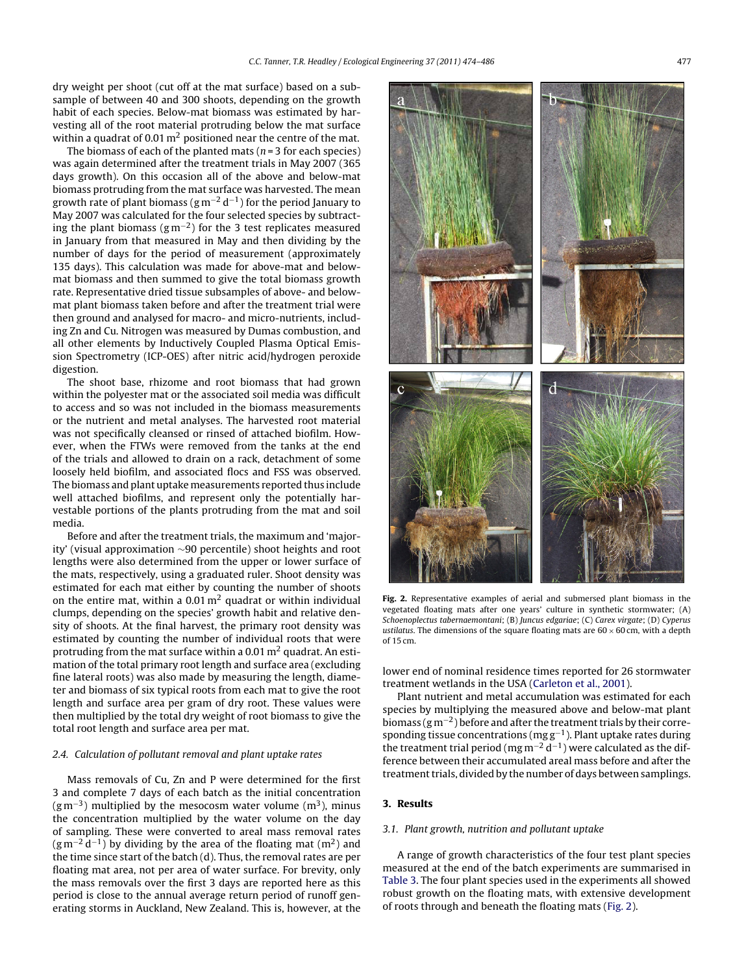dry weight per shoot (cut off at the mat surface) based on a subsample of between 40 and 300 shoots, depending on the growth habit of each species. Below-mat biomass was estimated by harvesting all of the root material protruding below the mat surface within a quadrat of 0.01  $m<sup>2</sup>$  positioned near the centre of the mat.

The biomass of each of the planted mats ( $n = 3$  for each species) was again determined after the treatment trials in May 2007 (365 days growth). On this occasion all of the above and below-mat biomass protruding from the mat surface was harvested. The mean growth rate of plant biomass ( $gm^{-2} d^{-1}$ ) for the period January to May 2007 was calculated for the four selected species by subtracting the plant biomass ( $gm^{-2}$ ) for the 3 test replicates measured in January from that measured in May and then dividing by the number of days for the period of measurement (approximately 135 days). This calculation was made for above-mat and belowmat biomass and then summed to give the total biomass growth rate. Representative dried tissue subsamples of above- and belowmat plant biomass taken before and after the treatment trial were then ground and analysed for macro- and micro-nutrients, including Zn and Cu. Nitrogen was measured by Dumas combustion, and all other elements by Inductively Coupled Plasma Optical Emission Spectrometry (ICP-OES) after nitric acid/hydrogen peroxide digestion.

The shoot base, rhizome and root biomass that had grown within the polyester mat or the associated soil media was difficult to access and so was not included in the biomass measurements or the nutrient and metal analyses. The harvested root material was not specifically cleansed or rinsed of attached biofilm. However, when the FTWs were removed from the tanks at the end of the trials and allowed to drain on a rack, detachment of some loosely held biofilm, and associated flocs and FSS was observed. The biomass and plant uptake measurements reported thus include well attached biofilms, and represent only the potentially harvestable portions of the plants protruding from the mat and soil media.

Before and after the treatment trials, the maximum and 'majority' (visual approximation ∼90 percentile) shoot heights and root lengths were also determined from the upper or lower surface of the mats, respectively, using a graduated ruler. Shoot density was estimated for each mat either by counting the number of shoots on the entire mat, within a  $0.01 \text{ m}^2$  quadrat or within individual clumps, depending on the species' growth habit and relative density of shoots. At the final harvest, the primary root density was estimated by counting the number of individual roots that were protruding from the mat surface within a 0.01  $\mathrm{m}^2$  quadrat. An estimation of the total primary root length and surface area (excluding fine lateral roots) was also made by measuring the length, diameter and biomass of six typical roots from each mat to give the root length and surface area per gram of dry root. These values were then multiplied by the total dry weight of root biomass to give the total root length and surface area per mat.

#### 2.4. Calculation of pollutant removal and plant uptake rates

Mass removals of Cu, Zn and P were determined for the first 3 and complete 7 days of each batch as the initial concentration  $(g m<sup>-3</sup>)$  multiplied by the mesocosm water volume  $(m<sup>3</sup>)$ , minus the concentration multiplied by the water volume on the day of sampling. These were converted to areal mass removal rates  $(g m^{-2} d^{-1})$  by dividing by the area of the floating mat  $(m^2)$  and the time since start of the batch (d). Thus, the removal rates are per floating mat area, not per area of water surface. For brevity, only the mass removals over the first 3 days are reported here as this period is close to the annual average return period of runoff generating storms in Auckland, New Zealand. This is, however, at the



**Fig. 2.** Representative examples of aerial and submersed plant biomass in the vegetated floating mats after one years' culture in synthetic stormwater; (A) Schoenoplectus tabernaemontani; (B) Juncus edgariae; (C) Carex virgate; (D) Cyperus ustilatus. The dimensions of the square floating mats are  $60 \times 60$  cm, with a depth of 15 cm.

lower end of nominal residence times reported for 26 stormwater treatment wetlands in the USA [\(Carleton et al., 2001\).](#page-12-0)

Plant nutrient and metal accumulation was estimated for each species by multiplying the measured above and below-mat plant biomass ( $\rm g\,m^{-2}$ ) before and after the treatment trials by their corresponding tissue concentrations (mg g−1). Plant uptake rates during the treatment trial period (mg m<sup>-2</sup> d<sup>-1</sup>) were calculated as the difference between their accumulated areal mass before and after the treatment trials, divided by the number of days between samplings.

#### **3. Results**

#### 3.1. Plant growth, nutrition and pollutant uptake

A range of growth characteristics of the four test plant species measured at the end of the batch experiments are summarised in [Table 3. T](#page-4-0)he four plant species used in the experiments all showed robust growth on the floating mats, with extensive development of roots through and beneath the floating mats (Fig. 2).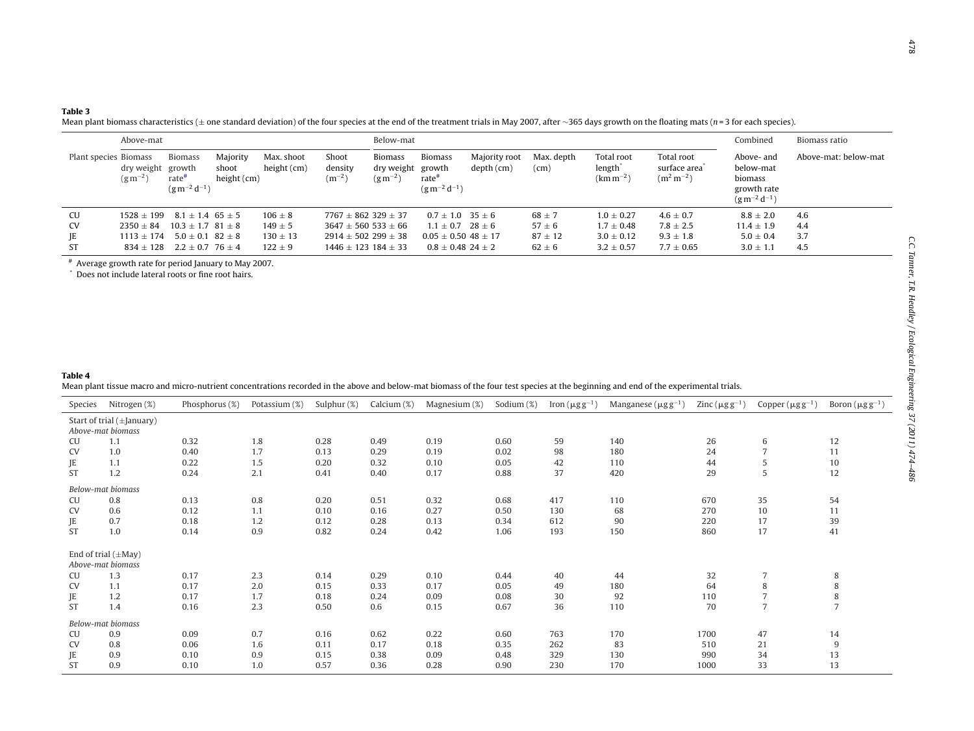|--|

<span id="page-4-0"></span>

|                                                                                      | Above-mat                         |                                                |                                  |                           |                                | Below-mat                                    |                                                             |                               |                                                                                                                                                                                     |                                                           |                                                 |                       | Combined                                                      | Biomass ratio |                        |
|--------------------------------------------------------------------------------------|-----------------------------------|------------------------------------------------|----------------------------------|---------------------------|--------------------------------|----------------------------------------------|-------------------------------------------------------------|-------------------------------|-------------------------------------------------------------------------------------------------------------------------------------------------------------------------------------|-----------------------------------------------------------|-------------------------------------------------|-----------------------|---------------------------------------------------------------|---------------|------------------------|
| Plant species Biomass                                                                | dry weight growth<br>$(g m^{-2})$ | <b>Biomass</b><br>rate#<br>$(g m^{-2} d^{-1})$ | Majority<br>shoot<br>height (cm) | Max. shoot<br>height (cm) | Shoot<br>density<br>$(m^{-2})$ | <b>Biomass</b><br>dry weight<br>$(g m^{-2})$ | <b>Biomass</b><br>growth<br>rate $#$<br>$(g m^{-2} d^{-1})$ | Majority root<br>$depth$ (cm) | Max. depth<br>(cm)                                                                                                                                                                  | <b>Total root</b><br>length <sup>*</sup><br>$(km m^{-2})$ | <b>Total root</b><br>surface area<br>$(m2 m-2)$ | biomass               | Above- and<br>below-mat<br>growth rate<br>$(g m^{-2} d^{-1})$ |               | Above-mat: below-mat   |
| CU                                                                                   | $1528 \pm 199$                    | $8.1 \pm 1.4$ 65 $\pm$ 5                       |                                  | $106 \pm 8$               | $7767 \pm 862$ 329 $\pm$ 37    |                                              | $0.7 \pm 1.0$ 35 $\pm$ 6                                    |                               | $68 \pm 7$                                                                                                                                                                          | $1.0 \pm 0.27$                                            | $4.6 \pm 0.7$                                   |                       | $8.8 \pm 2.0$                                                 | 4.6           |                        |
| <b>CV</b>                                                                            | $2350 \pm 84$                     | $10.3 \pm 1.7$ 81 $\pm$ 8                      |                                  | $149 \pm 5$               | $3647 \pm 560$ 533 $\pm$ 66    |                                              | $1.1 \pm 0.7$ 28 $\pm$ 6                                    |                               | $57 \pm 6$                                                                                                                                                                          | $1.7 \pm 0.48$                                            | $7.8 \pm 2.5$                                   |                       | $11.4 \pm 1.9$                                                | 4.4           |                        |
| JE                                                                                   | $1113 \pm 174$                    | $5.0 \pm 0.1$ 82 $\pm$ 8                       |                                  | $130 \pm 13$              | $2914 \pm 502$ 299 $\pm$ 38    |                                              | $0.05 \pm 0.50$ 48 $\pm$ 17                                 |                               | $87 \pm 12$                                                                                                                                                                         | $3.0 \pm 0.12$                                            | $9.3 \pm 1.8$                                   |                       | $5.0 \pm 0.4$                                                 | 3.7           |                        |
| <b>ST</b>                                                                            | $834 \pm 128$                     | $2.2 \pm 0.7$ 76 $\pm$ 4                       |                                  | $122 \pm 9$               | $1446 \pm 123$ 184 $\pm$ 33    |                                              | $0.8 \pm 0.48$ 24 $\pm$ 2                                   |                               | $62 \pm 6$                                                                                                                                                                          | $3.2 \pm 0.57$                                            | $7.7 \pm 0.65$                                  |                       | $3.0 \pm 1.1$                                                 | 4.5           |                        |
|                                                                                      |                                   |                                                |                                  |                           |                                |                                              |                                                             |                               |                                                                                                                                                                                     |                                                           |                                                 |                       |                                                               |               |                        |
| <b>Table 4</b>                                                                       |                                   |                                                |                                  |                           |                                |                                              |                                                             |                               | Mean plant tissue macro and micro-nutrient concentrations recorded in the above and below-mat biomass of the four test species at the beginning and end of the experimental trials. |                                                           |                                                 |                       |                                                               |               |                        |
| Species                                                                              | Nitrogen (%)                      | Phosphorus (%)                                 |                                  | Potassium (%)             | Sulphur (%)                    | Calcium (%)                                  | Magnesium (%)                                               | Sodium (%)                    | Iron $(\mu$ gg <sup>-1</sup> )                                                                                                                                                      |                                                           | Manganese ( $\mu$ g g <sup>-1</sup> )           | Zinc $(\mu g g^{-1})$ | Copper $(\mu g g^{-1})$                                       |               | Boron $(\mu g g^{-1})$ |
|                                                                                      |                                   |                                                |                                  |                           |                                |                                              |                                                             |                               |                                                                                                                                                                                     |                                                           |                                                 |                       |                                                               |               |                        |
| 1.1                                                                                  |                                   | 0.32                                           | 1.8                              |                           | 0.28                           | 0.49                                         | 0.19                                                        | 0.60                          | 59                                                                                                                                                                                  | 140                                                       |                                                 | 26                    | 6                                                             |               | 12                     |
| Start of trial $(\pm$ January)<br>Above-mat biomass<br><b>CU</b><br>1.0<br><b>CV</b> |                                   | 0.40                                           | 1.7                              |                           | 0.13                           | 0.29                                         | 0.19                                                        | 0.02                          | 98                                                                                                                                                                                  | 180                                                       |                                                 | 24                    | $\overline{7}$                                                |               | 11                     |
| 1.1<br>JE<br>1.2<br><b>ST</b>                                                        |                                   | 0.22<br>0.24                                   | 1.5<br>2.1                       |                           | 0.20<br>0.41                   | 0.32<br>0.40                                 | 0.10<br>0.17                                                | 0.05<br>0.88                  | 42<br>37                                                                                                                                                                            | 110<br>420                                                |                                                 | 44<br>29              | 5<br>$\overline{5}$                                           |               | 10<br>12               |

| Species   | Nitrogen (%)                   | Phosphorus (%) | Potassium (%) | Sulphur $(\%)$ | Calcium $(\%)$ | Magnesium (%) | Sodium (%) | Iron $(\mu g g^{-1})$ | Manganese ( $\mu$ g g <sup>-1</sup> ) | Zinc $(\mu g g^{-1})$ | Copper $(\mu g g^{-1})$ | Boron $(\mu g g^{-1})$ |
|-----------|--------------------------------|----------------|---------------|----------------|----------------|---------------|------------|-----------------------|---------------------------------------|-----------------------|-------------------------|------------------------|
|           | Start of trial $(\pm$ January) |                |               |                |                |               |            |                       |                                       |                       |                         |                        |
|           | Above-mat biomass              |                |               |                |                |               |            |                       |                                       |                       |                         |                        |
| <b>CU</b> | 1.1                            | 0.32           | 1.8           | 0.28           | 0.49           | 0.19          | 0.60       | 59                    | 140                                   | 26                    | 6                       | 12                     |
| <b>CV</b> | 1.0                            | 0.40           | 1.7           | 0.13           | 0.29           | 0.19          | 0.02       | 98                    | 180                                   | 24                    | $\overline{7}$          | 11                     |
| JE        | 1.1                            | 0.22           | 1.5           | 0.20           | 0.32           | 0.10          | 0.05       | 42                    | 110                                   | 44                    | 5                       | 10                     |
| <b>ST</b> | 1.2                            | 0.24           | 2.1           | 0.41           | 0.40           | 0.17          | 0.88       | 37                    | 420                                   | 29                    | 5                       | 12                     |
|           | <b>Below-mat biomass</b>       |                |               |                |                |               |            |                       |                                       |                       |                         |                        |
| CU        | 0.8                            | 0.13           | 0.8           | 0.20           | 0.51           | 0.32          | 0.68       | 417                   | 110                                   | 670                   | 35                      | 54                     |
| <b>CV</b> | 0.6                            | 0.12           | 1.1           | 0.10           | 0.16           | 0.27          | 0.50       | 130                   | 68                                    | 270                   | 10                      | 11                     |
| JE        | 0.7                            | 0.18           | 1.2           | 0.12           | 0.28           | 0.13          | 0.34       | 612                   | 90                                    | 220                   | 17                      | 39                     |
| <b>ST</b> | 1.0                            | 0.14           | 0.9           | 0.82           | 0.24           | 0.42          | 1.06       | 193                   | 150                                   | 860                   | 17                      | 41                     |
|           | End of trial $(\pm May)$       |                |               |                |                |               |            |                       |                                       |                       |                         |                        |
|           | Above-mat biomass              |                |               |                |                |               |            |                       |                                       |                       |                         |                        |
| CU        | 1.3                            | 0.17           | 2.3           | 0.14           | 0.29           | 0.10          | 0.44       | 40                    | 44                                    | 32                    | $\overline{7}$          | 8                      |
| <b>CV</b> | 1.1                            | 0.17           | 2.0           | 0.15           | 0.33           | 0.17          | 0.05       | 49                    | 180                                   | 64                    | 8                       | 8                      |
| JE        | 1.2                            | 0.17           | 1.7           | 0.18           | 0.24           | 0.09          | 0.08       | 30                    | 92                                    | 110                   | 7                       | 8                      |
| <b>ST</b> | 1.4                            | 0.16           | 2.3           | 0.50           | 0.6            | 0.15          | 0.67       | 36                    | 110                                   | 70                    | $\overline{7}$          | $\overline{7}$         |
|           | <b>Below-mat biomass</b>       |                |               |                |                |               |            |                       |                                       |                       |                         |                        |
| CU        | 0.9                            | 0.09           | 0.7           | 0.16           | 0.62           | 0.22          | 0.60       | 763                   | 170                                   | 1700                  | 47                      | 14                     |
| <b>CV</b> | 0.8                            | 0.06           | 1.6           | 0.11           | 0.17           | 0.18          | 0.35       | 262                   | 83                                    | 510                   | 21                      | 9                      |
| JE        | 0.9                            | 0.10           | 0.9           | 0.15           | 0.38           | 0.09          | 0.48       | 329                   | 130                                   | 990                   | 34                      | 13                     |
| <b>ST</b> | 0.9                            | 0.10           | 1.0           | 0.57           | 0.36           | 0.28          | 0.90       | 230                   | 170                                   | 1000                  | 33                      | 13                     |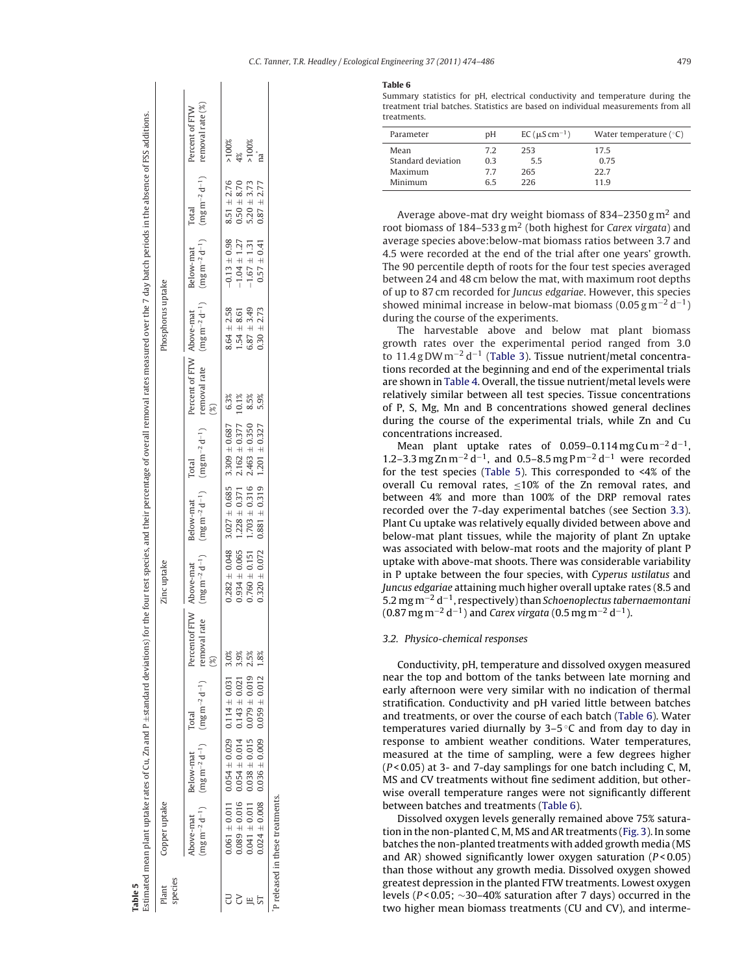|                  | Estimated mean plant uptake rates of Cu, Zn and P ±standard deviations) for |           |                                                                                                |                         | the four test species, and their percentage of overall removal rates measured over the 7 day batch periods in the absence of FSS additions. |                                                       |                                     |                                                                       |                   |                                     |                                 |                                       |
|------------------|-----------------------------------------------------------------------------|-----------|------------------------------------------------------------------------------------------------|-------------------------|---------------------------------------------------------------------------------------------------------------------------------------------|-------------------------------------------------------|-------------------------------------|-----------------------------------------------------------------------|-------------------|-------------------------------------|---------------------------------|---------------------------------------|
| species<br>Plant | Copper uptake                                                               |           |                                                                                                |                         | Zinc uptake                                                                                                                                 |                                                       |                                     |                                                                       | Phosphorus uptake |                                     |                                 |                                       |
|                  | Above-mat                                                                   | Below-mat | $mg\,m^{-2}\,d^{-1}$ ) ( $mg\,m^{-2}\,d^{-1}$ ) ( $mg\,m^{-2}\,d^{-1}$ ) removal rate<br>Total | Percentof FTW Above-mat | $(mg\,m^{-2}\,d^{-1})$ $(mg\,m^{-2}\,d^{-1})$                                                                                               | Below-mat                                             | $(mg\,m^{-2}\,d^{-1})$<br>Total     | removal rate $(mg\,m^{-2}\,d^{-1})$<br>Percent of FTW Above-mat<br>s, |                   | $(mg\,m^{-2}\,d^{-1})$<br>Below-mat | $(mg\,m^{-2}\,d^{-1})$<br>Total | removal rate $(\%)$<br>Percent of FTW |
|                  |                                                                             |           | $0.061 \pm 0.011$ $0.054 \pm 0.029$ $0.114 \pm 0.031$ $3.0%$                                   |                         | $0.282 + 0.048$                                                                                                                             |                                                       | $3.027 \pm 0.685$ 3.309 $\pm 0.687$ | 6.3%                                                                  | $8.64 \pm 2.58$   | $-0.13 + 0.98$                      | $8.51 \pm 2.76$                 | $>100\%$                              |
|                  | $0.089 \pm 0.016$                                                           |           | $0.054 \pm 0.014$ 0.143 $\pm$ 0.021                                                            | 3.9%                    | $0.934 \pm 0.065$                                                                                                                           | $1.228 \pm 0.371$                                     | $2.162 \pm 0.377$                   | 10.1%                                                                 | $1.54 \pm 8.61$   | $-1.04 \pm 1.27$                    | $0.50 + 8.70$                   | 4%                                    |
|                  |                                                                             |           | $0.041 \pm 0.011$ $0.038 \pm 0.015$ $0.079 \pm 0.019$                                          | 2.5%                    | $0.760 \pm 0.151$                                                                                                                           | $1.703 \pm 0.316$                                     | $2.463 \pm 0.350$                   | 8.5%                                                                  | $6.87 + 3.49$     | $-1.67 \pm 1.31$                    | $5.20 \pm 3.73$                 | $>100\%$                              |
|                  |                                                                             |           | $0.024 \pm 0.008$ $0.036 \pm 0.009$ $0.059 \pm 0.012$ $1.8\%$                                  |                         |                                                                                                                                             | $0.320 \pm 0.072$ $0.881 \pm 0.319$ $1.201 \pm 0.327$ |                                     | 5.9%                                                                  | $0.30 \pm 2.73$   | $0.57 \pm 0.41$                     | $0.87 + 2.77$                   |                                       |
|                  | P released in these treatments.                                             |           |                                                                                                |                         |                                                                                                                                             |                                                       |                                     |                                                                       |                   |                                     |                                 |                                       |

**Table 5**

### **Table 6**

Summary statistics for pH, electrical conductivity and temperature during the treatment trial batches. Statistics are based on individual measurements from all treatments.

| Parameter          | υH  | EC ( $\mu$ S cm <sup>-1</sup> ) | Water temperature $(°C)$ |
|--------------------|-----|---------------------------------|--------------------------|
| Mean               | 7.2 | 253                             | 17.5                     |
| Standard deviation | 0.3 | 5.5                             | 0.75                     |
| Maximum            | 77  | 265                             | 22.7                     |
| Minimum            | 6.5 | 226                             | 119                      |
|                    |     |                                 |                          |

Average above-mat dry weight biomass of 834-2350 g m<sup>2</sup> and root biomass of 184–533  $gm^2$  (both highest for Carex virgata) and average species above:below-mat biomass ratios between 3.7 and 4.5 were recorded at the end of the trial after one years' growth. The 90 percentile depth of roots for the four test species averaged between 24 and 48 cm below the mat, with maximum root depths of up to 87 cm recorded for Juncus edgariae. However, this species showed minimal increase in below-mat biomass (0.05 g m<sup>-2</sup> d<sup>-1</sup>) during the course of the experiments.

The harvestable above and below mat plant biomass growth rates over the experimental period ranged from 3.0 to 11.4 g DW m−<sup>2</sup> d−<sup>1</sup> ([Table 3\).](#page-4-0) Tissue nutrient/metal concentrations recorded at the beginning and end of the experimental trials are shown in [Table 4. O](#page-4-0)verall, the tissue nutrient/metal levels were relatively similar between all test species. Tissue concentrations of P, S, Mg, Mn and B concentrations showed general declines during the course of the experimental trials, while Zn and Cu concentrations increased.

Mean plant uptake rates of 0.059–0.114 mg Cu m<sup>-2</sup> d<sup>-1</sup>, 1.2–3.3 mg Zn m<sup>-2</sup> d<sup>-1</sup>, and 0.5–8.5 mg P m<sup>-2</sup> d<sup>-1</sup> were recorded for the test species (Table 5). This corresponded to <4% of the overall Cu removal rates,  $\leq$ 10% of the Zn removal rates, and between 4% and more than 100% of the DRP removal rates recorded over the 7-day experimental batches (see Section [3.3\).](#page-6-0) Plant Cu uptake was relatively equally divided between above and below-mat plant tissues, while the majority of plant Zn uptake was associated with below-mat roots and the majority of plant P uptake with above-mat shoots. There was considerable variability in P uptake between the four species, with Cyperus ustilatus and Juncus edgariae attaining much higher overall uptake rates (8.5 and 5.2 mg m<sup>-2</sup> d<sup>-1</sup>, respectively) than Schoenoplectus tabernaemontani  $(0.87 \,\mathrm{mg\,m^{-2}\,d^{-1}})$  and Carex virgata (0.5 mg m<sup>-2</sup> d<sup>-1</sup>).

### 3.2. Physico-chemical responses

Conductivity, pH, temperature and dissolved oxygen measured near the top and bottom of the tanks between late morning and early afternoon were very similar with no indication of thermal stratification. Conductivity and pH varied little between batches and treatments, or over the course of each batch (Table 6). Water temperatures varied diurnally by  $3-5$  °C and from day to day in response to ambient weather conditions. Water temperatures, measured at the time of sampling, were a few degrees higher  $(P< 0.05)$  at 3- and 7-day samplings for one batch including C, M, MS and CV treatments without fine sediment addition, but otherwise overall temperature ranges were not significantly different between batches and treatments (Table 6).

Dissolved oxygen levels generally remained above 75% saturation in the non-planted C, M, MS and AR treatments ([Fig. 3\).](#page-6-0) In some batches the non-planted treatments with added growth media (MS and AR) showed significantly lower oxygen saturation  $(P < 0.05)$ than those without any growth media. Dissolved oxygen showed greatest depression in the planted FTW treatments. Lowest oxygen levels (P < 0.05; ∼30–40% saturation after 7 days) occurred in the two higher mean biomass treatments (CU and CV), and interme-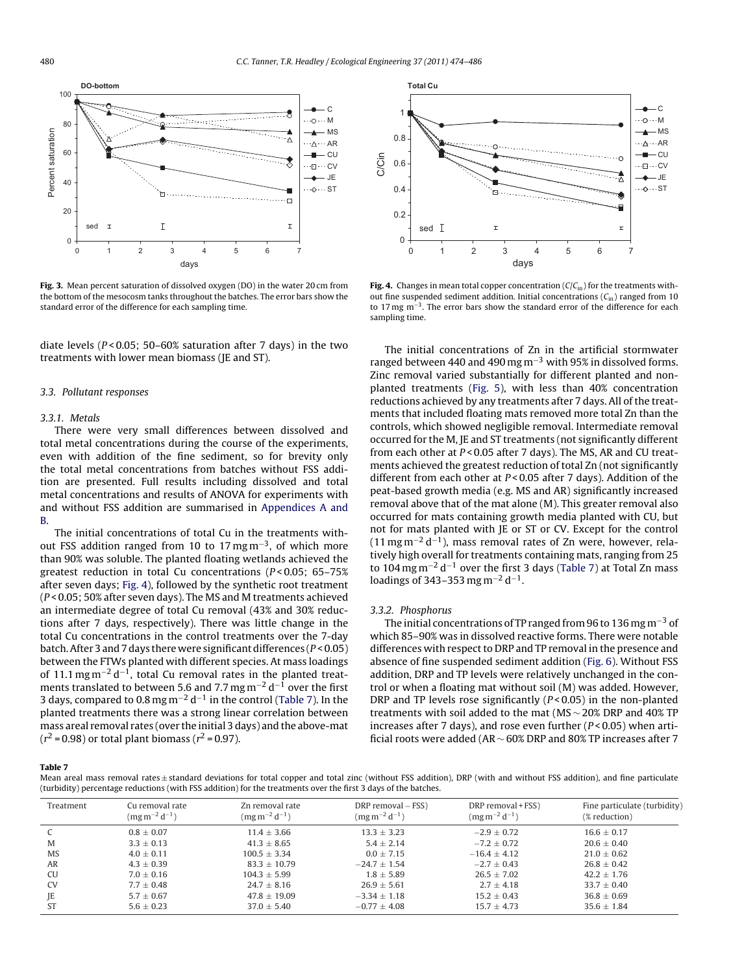<span id="page-6-0"></span>

**Fig. 3.** Mean percent saturation of dissolved oxygen (DO) in the water 20 cm from the bottom of the mesocosm tanks throughout the batches. The error bars show the standard error of the difference for each sampling time.

diate levels ( $P < 0.05$ ; 50–60% saturation after 7 days) in the two treatments with lower mean biomass (JE and ST).

### 3.3. Pollutant responses

#### 3.3.1. Metals

There were very small differences between dissolved and total metal concentrations during the course of the experiments, even with addition of the fine sediment, so for brevity only the total metal concentrations from batches without FSS addition are presented. Full results including dissolved and total metal concentrations and results of ANOVA for experiments with and without FSS addition are summarised in [Appendices A and](#page-11-0) [B.](#page-11-0)

The initial concentrations of total Cu in the treatments without FSS addition ranged from 10 to 17 mg m−3, of which more than 90% was soluble. The planted floating wetlands achieved the greatest reduction in total Cu concentrations (P < 0.05; 65–75% after seven days; Fig. 4), followed by the synthetic root treatment (P < 0.05; 50% after seven days). The MS and M treatments achieved an intermediate degree of total Cu removal (43% and 30% reductions after 7 days, respectively). There was little change in the total Cu concentrations in the control treatments over the 7-day batch. After 3 and 7 days there were significant differences (P < 0.05) between the FTWs planted with different species. At mass loadings of 11.1 mg m<sup>-2</sup> d<sup>-1</sup>, total Cu removal rates in the planted treatments translated to between 5.6 and 7.7 mg m<sup>-2</sup> d<sup>-1</sup> over the first 3 days, compared to 0.8 mg m<sup>-2</sup> d<sup>-1</sup> in the control (Table 7). In the planted treatments there was a strong linear correlation between mass areal removal rates (over the initial 3 days) and the above-mat  $(r^2 = 0.98)$  or total plant biomass  $(r^2 = 0.97)$ .



**Fig. 4.** Changes in mean total copper concentration  $(C/C_{\text{in}})$  for the treatments without fine suspended sediment addition. Initial concentrations  $(C_{in})$  ranged from 10 to 17 mg m<sup>-3</sup>. The error bars show the standard error of the difference for each sampling time.

The initial concentrations of Zn in the artificial stormwater ranged between 440 and 490 mg m<sup>-3</sup> with 95% in dissolved forms. Zinc removal varied substantially for different planted and nonplanted treatments [\(Fig. 5\)](#page-7-0), with less than 40% concentration reductions achieved by any treatments after 7 days. All of the treatments that included floating mats removed more total Zn than the controls, which showed negligible removal. Intermediate removal occurred for the M, JE and ST treatments (not significantly different from each other at  $P < 0.05$  after 7 days). The MS, AR and CU treatments achieved the greatest reduction of total Zn (not significantly different from each other at  $P < 0.05$  after 7 days). Addition of the peat-based growth media (e.g. MS and AR) significantly increased removal above that of the mat alone (M). This greater removal also occurred for mats containing growth media planted with CU, but not for mats planted with JE or ST or CV. Except for the control (11 mg m<sup>-2</sup> d<sup>-1</sup>), mass removal rates of Zn were, however, relatively high overall for treatments containing mats, ranging from 25 to 104 mg m<sup>-2</sup> d<sup>-1</sup> over the first 3 days (Table 7) at Total Zn mass loadings of 343–353 mg m<sup>-2</sup> d<sup>-1</sup>.

### 3.3.2. Phosphorus

The initial concentrations of TP ranged from 96 to 136 mg m−<sup>3</sup> of which 85–90% was in dissolved reactive forms. There were notable differences with respect to DRP and TP removal in the presence and absence of fine suspended sediment addition ([Fig. 6\).](#page-7-0) Without FSS addition, DRP and TP levels were relatively unchanged in the control or when a floating mat without soil (M) was added. However, DRP and TP levels rose significantly  $(P < 0.05)$  in the non-planted treatments with soil added to the mat (MS ∼ 20% DRP and 40% TP increases after 7 days), and rose even further  $(P < 0.05)$  when artificial roots were added (AR ∼ 60% DRP and 80% TP increases after 7

**Table 7**

Mean areal mass removal rates ± standard deviations for total copper and total zinc (without FSS addition), DRP (with and without FSS addition), and fine particulate (turbidity) percentage reductions (with FSS addition) for the treatments over the first 3 days of the batches.

| Treatment | Cu removal rate<br>$(mg\,m^{-2}\,d^{-1})$ | Zn removal rate<br>$(mg\,m^{-2}\,d^{-1})$ | $DRP$ removal $-FSS$ )<br>$(mg\,m^{-2}\,d^{-1})$ | DRP removal + FSS)<br>$(mg\,m^{-2}\,d^{-1})$ | Fine particulate (turbidity)<br>(% reduction) |
|-----------|-------------------------------------------|-------------------------------------------|--------------------------------------------------|----------------------------------------------|-----------------------------------------------|
|           | $0.8 \pm 0.07$                            | $11.4 \pm 3.66$                           | $13.3 \pm 3.23$                                  | $-2.9 + 0.72$                                | $16.6 \pm 0.17$                               |
| M         | $3.3 + 0.13$                              | $41.3 + 8.65$                             | $5.4 \pm 2.14$                                   | $-7.2 \pm 0.72$                              | $20.6 + 0.40$                                 |
| <b>MS</b> | $4.0 + 0.11$                              | $100.5 + 3.34$                            | $0.0 + 7.15$                                     | $-16.4 + 4.12$                               | $21.0 + 0.62$                                 |
| AR        | $4.3 \pm 0.39$                            | $83.3 + 10.79$                            | $-24.7 + 1.54$                                   | $-2.7 \pm 0.43$                              | $26.8 \pm 0.42$                               |
| CU        | $7.0 \pm 0.16$                            | $104.3 \pm 5.99$                          | $1.8 \pm 5.89$                                   | $26.5 \pm 7.02$                              | $42.2 \pm 1.76$                               |
| <b>CV</b> | $7.7 \pm 0.48$                            | $24.7 \pm 8.16$                           | $26.9 \pm 5.61$                                  | $2.7 \pm 4.18$                               | $33.7 \pm 0.40$                               |
| JE        | $5.7 \pm 0.67$                            | $47.8 + 19.09$                            | $-3.34 + 1.18$                                   | $15.2 + 0.43$                                | $36.8 + 0.69$                                 |
| <b>ST</b> | $5.6 \pm 0.23$                            | $37.0 \pm 5.40$                           | $-0.77 + 4.08$                                   | $15.7 \pm 4.73$                              | $35.6 \pm 1.84$                               |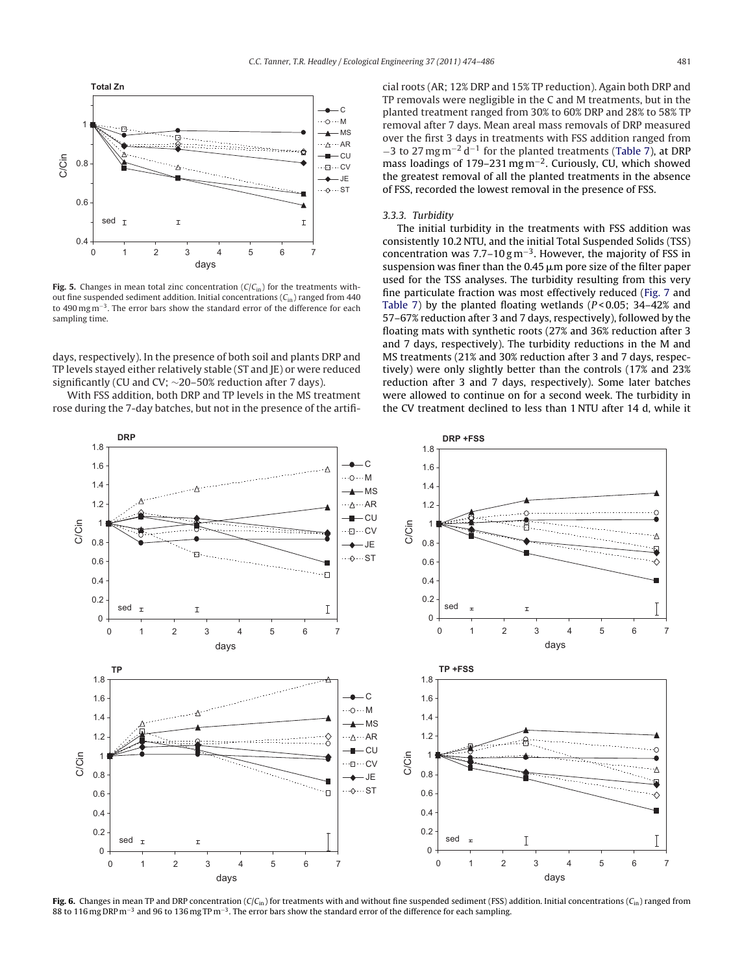<span id="page-7-0"></span>

**Fig. 5.** Changes in mean total zinc concentration  $(C/C_{\text{in}})$  for the treatments without fine suspended sediment addition. Initial concentrations  $(C_{in})$  ranged from 440 to 490 mg m−3. The error bars show the standard error of the difference for each sampling time.

days, respectively). In the presence of both soil and plants DRP and TP levels stayed either relatively stable (ST and JE) or were reduced significantly (CU and CV; ∼20–50% reduction after 7 days).

With FSS addition, both DRP and TP levels in the MS treatment rose during the 7-day batches, but not in the presence of the artificial roots (AR; 12% DRP and 15% TP reduction). Again both DRP and TP removals were negligible in the C and M treatments, but in the planted treatment ranged from 30% to 60% DRP and 28% to 58% TP removal after 7 days. Mean areal mass removals of DRP measured over the first 3 days in treatments with FSS addition ranged from  $-3$  to 27 mg m<sup>-2</sup> d<sup>-1</sup> for the planted treatments ([Table 7\),](#page-6-0) at DRP mass loadings of 179–231 mg m−2. Curiously, CU, which showed the greatest removal of all the planted treatments in the absence of FSS, recorded the lowest removal in the presence of FSS.

### 3.3.3. Turbidity

The initial turbidity in the treatments with FSS addition was consistently 10.2 NTU, and the initial Total Suspended Solids (TSS) concentration was  $7.7-10 \text{ g m}^{-3}$ . However, the majority of FSS in suspension was finer than the 0.45  $\mu$ m pore size of the filter paper used for the TSS analyses. The turbidity resulting from this very fine particulate fraction was most effectively reduced [\(Fig. 7](#page-8-0) and [Table 7\)](#page-6-0) by the planted floating wetlands ( $P < 0.05$ ; 34–42% and 57–67% reduction after 3 and 7 days, respectively), followed by the floating mats with synthetic roots (27% and 36% reduction after 3 and 7 days, respectively). The turbidity reductions in the M and MS treatments (21% and 30% reduction after 3 and 7 days, respectively) were only slightly better than the controls (17% and 23% reduction after 3 and 7 days, respectively). Some later batches were allowed to continue on for a second week. The turbidity in the CV treatment declined to less than 1 NTU after 14 d, while it



**Fig. 6.** Changes in mean TP and DRP concentration ( $C/C_{\text{in}}$ ) for treatments with and without fine suspended sediment (FSS) addition. Initial concentrations ( $C_{\text{in}}$ ) ranged from 88 to 116 mg DRP m<sup>-3</sup> and 96 to 136 mg TP m<sup>-3</sup>. The error bars show the standard error of the difference for each sampling.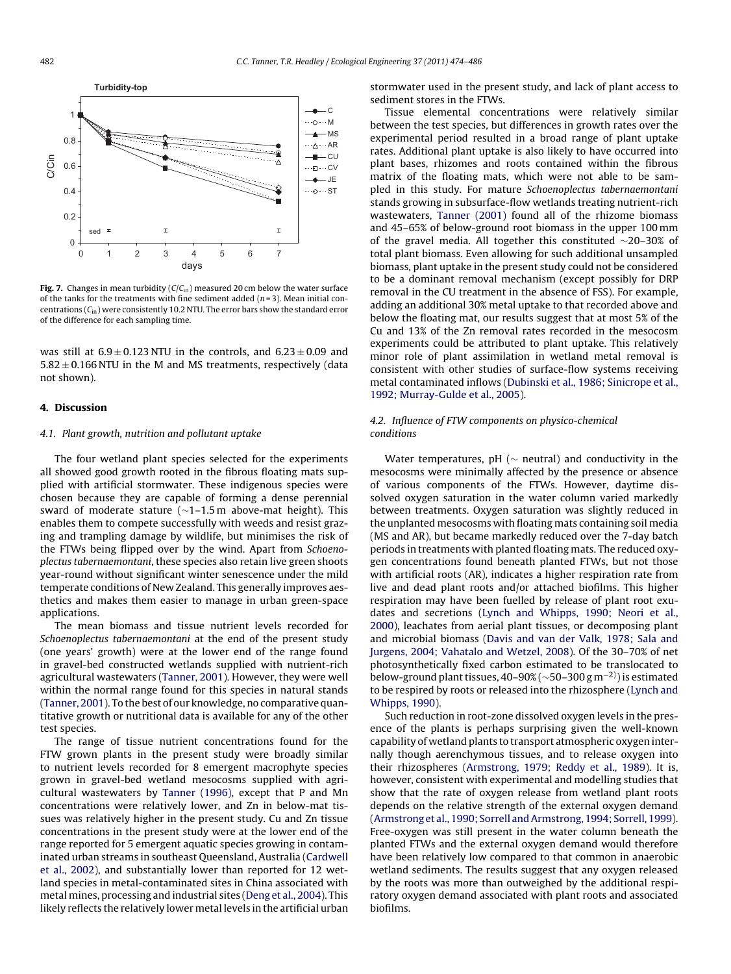<span id="page-8-0"></span>

**Fig. 7.** Changes in mean turbidity ( $C/C_{\text{in}}$ ) measured 20 cm below the water surface of the tanks for the treatments with fine sediment added ( $n=3$ ). Mean initial concentrations  $(C_{in})$  were consistently 10.2 NTU. The error bars show the standard error of the difference for each sampling time.

was still at  $6.9 \pm 0.123$  NTU in the controls, and  $6.23 \pm 0.09$  and  $5.82 \pm 0.166$  NTU in the M and MS treatments, respectively (data not shown).

### **4. Discussion**

### 4.1. Plant growth, nutrition and pollutant uptake

The four wetland plant species selected for the experiments all showed good growth rooted in the fibrous floating mats supplied with artificial stormwater. These indigenous species were chosen because they are capable of forming a dense perennial sward of moderate stature (∼1–1.5 m above-mat height). This enables them to compete successfully with weeds and resist grazing and trampling damage by wildlife, but minimises the risk of the FTWs being flipped over by the wind. Apart from Schoenoplectus tabernaemontani, these species also retain live green shoots year-round without significant winter senescence under the mild temperate conditions of New Zealand. This generally improves aesthetics and makes them easier to manage in urban green-space applications.

The mean biomass and tissue nutrient levels recorded for Schoenoplectus tabernaemontani at the end of the present study (one years' growth) were at the lower end of the range found in gravel-bed constructed wetlands supplied with nutrient-rich agricultural wastewaters [\(Tanner, 2001\).](#page-12-0) However, they were well within the normal range found for this species in natural stands ([Tanner, 2001\).](#page-12-0) To the best of our knowledge, no comparative quantitative growth or nutritional data is available for any of the other test species.

The range of tissue nutrient concentrations found for the FTW grown plants in the present study were broadly similar to nutrient levels recorded for 8 emergent macrophyte species grown in gravel-bed wetland mesocosms supplied with agricultural wastewaters by [Tanner \(1996\),](#page-12-0) except that P and Mn concentrations were relatively lower, and Zn in below-mat tissues was relatively higher in the present study. Cu and Zn tissue concentrations in the present study were at the lower end of the range reported for 5 emergent aquatic species growing in contaminated urban streams in southeast Queensland, Australia ([Cardwell](#page-12-0) [et al., 2002\),](#page-12-0) and substantially lower than reported for 12 wetland species in metal-contaminated sites in China associated with metal mines, processing and industrial sites [\(Deng et al., 2004\).](#page-12-0) This likely reflects the relatively lower metal levels in the artificial urban stormwater used in the present study, and lack of plant access to sediment stores in the FTWs.

Tissue elemental concentrations were relatively similar between the test species, but differences in growth rates over the experimental period resulted in a broad range of plant uptake rates. Additional plant uptake is also likely to have occurred into plant bases, rhizomes and roots contained within the fibrous matrix of the floating mats, which were not able to be sampled in this study. For mature Schoenoplectus tabernaemontani stands growing in subsurface-flow wetlands treating nutrient-rich wastewaters, [Tanner \(2001\)](#page-12-0) found all of the rhizome biomass and 45–65% of below-ground root biomass in the upper 100 mm of the gravel media. All together this constituted ∼20–30% of total plant biomass. Even allowing for such additional unsampled biomass, plant uptake in the present study could not be considered to be a dominant removal mechanism (except possibly for DRP removal in the CU treatment in the absence of FSS). For example, adding an additional 30% metal uptake to that recorded above and below the floating mat, our results suggest that at most 5% of the Cu and 13% of the Zn removal rates recorded in the mesocosm experiments could be attributed to plant uptake. This relatively minor role of plant assimilation in wetland metal removal is consistent with other studies of surface-flow systems receiving metal contaminated inflows [\(Dubinski et al., 1986; Sinicrope et al.,](#page-12-0) [1992; Murray-Gulde et al., 2005\).](#page-12-0)

### 4.2. Influence of FTW components on physico-chemical conditions

Water temperatures, pH ( $\sim$  neutral) and conductivity in the mesocosms were minimally affected by the presence or absence of various components of the FTWs. However, daytime dissolved oxygen saturation in the water column varied markedly between treatments. Oxygen saturation was slightly reduced in the unplanted mesocosms with floating mats containing soil media (MS and AR), but became markedly reduced over the 7-day batch periods in treatments with planted floating mats. The reduced oxygen concentrations found beneath planted FTWs, but not those with artificial roots (AR), indicates a higher respiration rate from live and dead plant roots and/or attached biofilms. This higher respiration may have been fuelled by release of plant root exudates and secretions [\(Lynch and Whipps, 1990; Neori et al.,](#page-12-0) [2000\),](#page-12-0) leachates from aerial plant tissues, or decomposing plant and microbial biomass ([Davis and van der Valk, 1978; Sala and](#page-12-0) [Jurgens, 2004; Vahatalo and Wetzel, 2008\).](#page-12-0) Of the 30–70% of net photosynthetically fixed carbon estimated to be translocated to below-ground plant tissues, 40–90% ( $\sim$ 50–300 g m<sup>-2)</sup>) is estimated to be respired by roots or released into the rhizosphere ([Lynch and](#page-12-0) [Whipps, 1990\).](#page-12-0)

Such reduction in root-zone dissolved oxygen levels in the presence of the plants is perhaps surprising given the well-known capability of wetland plants to transport atmospheric oxygen internally though aerenchymous tissues, and to release oxygen into their rhizospheres [\(Armstrong, 1979; Reddy et al., 1989\).](#page-12-0) It is, however, consistent with experimental and modelling studies that show that the rate of oxygen release from wetland plant roots depends on the relative strength of the external oxygen demand ([Armstrong et al., 1990; Sorrell and Armstrong, 1994; Sorrell, 1999\).](#page-12-0) Free-oxygen was still present in the water column beneath the planted FTWs and the external oxygen demand would therefore have been relatively low compared to that common in anaerobic wetland sediments. The results suggest that any oxygen released by the roots was more than outweighed by the additional respiratory oxygen demand associated with plant roots and associated biofilms.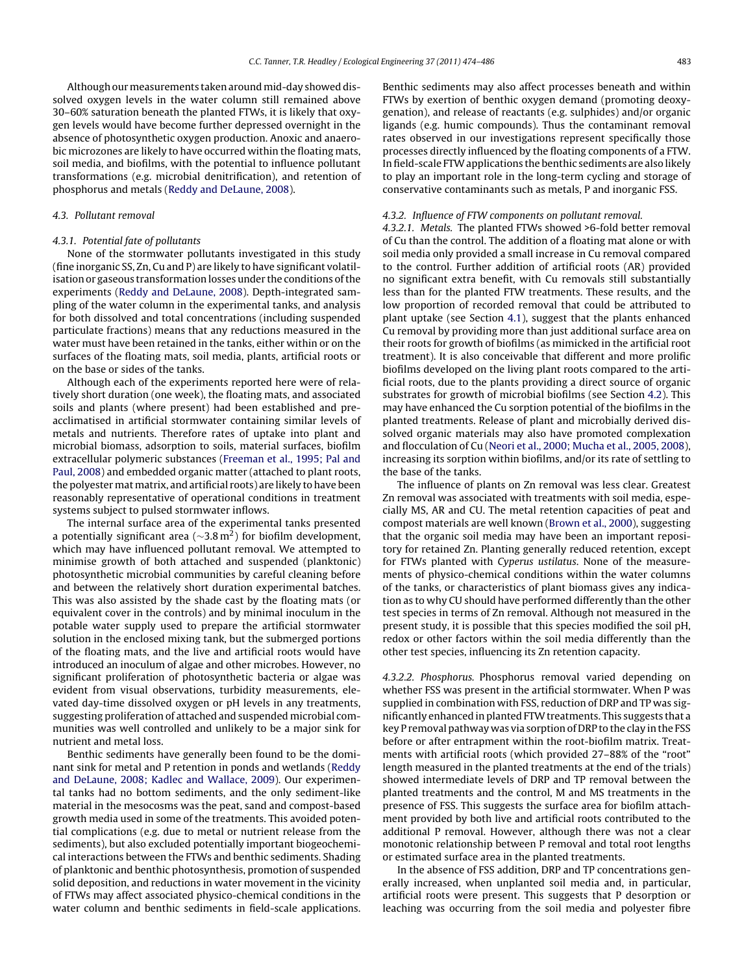<span id="page-9-0"></span>Although our measurements taken around mid-day showed dissolved oxygen levels in the water column still remained above 30–60% saturation beneath the planted FTWs, it is likely that oxygen levels would have become further depressed overnight in the absence of photosynthetic oxygen production. Anoxic and anaerobic microzones are likely to have occurred within the floating mats, soil media, and biofilms, with the potential to influence pollutant transformations (e.g. microbial denitrification), and retention of phosphorus and metals [\(Reddy and DeLaune, 2008\).](#page-12-0)

### 4.3. Pollutant removal

### 4.3.1. Potential fate of pollutants

None of the stormwater pollutants investigated in this study (fine inorganic SS, Zn, Cu and P) are likely to have significant volatilisation or gaseous transformation losses under the conditions of the experiments ([Reddy and DeLaune, 2008\).](#page-12-0) Depth-integrated sampling of the water column in the experimental tanks, and analysis for both dissolved and total concentrations (including suspended particulate fractions) means that any reductions measured in the water must have been retained in the tanks, either within or on the surfaces of the floating mats, soil media, plants, artificial roots or on the base or sides of the tanks.

Although each of the experiments reported here were of relatively short duration (one week), the floating mats, and associated soils and plants (where present) had been established and preacclimatised in artificial stormwater containing similar levels of metals and nutrients. Therefore rates of uptake into plant and microbial biomass, adsorption to soils, material surfaces, biofilm extracellular polymeric substances ([Freeman et al., 1995; Pal and](#page-12-0) [Paul, 2008\)](#page-12-0) and embedded organic matter (attached to plant roots, the polyester mat matrix, and artificial roots) are likely to have been reasonably representative of operational conditions in treatment systems subject to pulsed stormwater inflows.

The internal surface area of the experimental tanks presented a potentially significant area ( $\sim$ 3.8 m<sup>2</sup>) for biofilm development, which may have influenced pollutant removal. We attempted to minimise growth of both attached and suspended (planktonic) photosynthetic microbial communities by careful cleaning before and between the relatively short duration experimental batches. This was also assisted by the shade cast by the floating mats (or equivalent cover in the controls) and by minimal inoculum in the potable water supply used to prepare the artificial stormwater solution in the enclosed mixing tank, but the submerged portions of the floating mats, and the live and artificial roots would have introduced an inoculum of algae and other microbes. However, no significant proliferation of photosynthetic bacteria or algae was evident from visual observations, turbidity measurements, elevated day-time dissolved oxygen or pH levels in any treatments, suggesting proliferation of attached and suspended microbial communities was well controlled and unlikely to be a major sink for nutrient and metal loss.

Benthic sediments have generally been found to be the dominant sink for metal and P retention in ponds and wetlands [\(Reddy](#page-12-0) [and DeLaune, 2008; Kadlec and Wallace, 2009\).](#page-12-0) Our experimental tanks had no bottom sediments, and the only sediment-like material in the mesocosms was the peat, sand and compost-based growth media used in some of the treatments. This avoided potential complications (e.g. due to metal or nutrient release from the sediments), but also excluded potentially important biogeochemical interactions between the FTWs and benthic sediments. Shading of planktonic and benthic photosynthesis, promotion of suspended solid deposition, and reductions in water movement in the vicinity of FTWs may affect associated physico-chemical conditions in the water column and benthic sediments in field-scale applications. Benthic sediments may also affect processes beneath and within FTWs by exertion of benthic oxygen demand (promoting deoxygenation), and release of reactants (e.g. sulphides) and/or organic ligands (e.g. humic compounds). Thus the contaminant removal rates observed in our investigations represent specifically those processes directly influenced by the floating components of a FTW. In field-scale FTW applications the benthic sediments are also likely to play an important role in the long-term cycling and storage of conservative contaminants such as metals, P and inorganic FSS.

### 4.3.2. Influence of FTW components on pollutant removal.

4.3.2.1. Metals. The planted FTWs showed >6-fold better removal of Cu than the control. The addition of a floating mat alone or with soil media only provided a small increase in Cu removal compared to the control. Further addition of artificial roots (AR) provided no significant extra benefit, with Cu removals still substantially less than for the planted FTW treatments. These results, and the low proportion of recorded removal that could be attributed to plant uptake (see Section [4.1\),](#page-8-0) suggest that the plants enhanced Cu removal by providing more than just additional surface area on their roots for growth of biofilms (as mimicked in the artificial root treatment). It is also conceivable that different and more prolific biofilms developed on the living plant roots compared to the artificial roots, due to the plants providing a direct source of organic substrates for growth of microbial biofilms (see Section [4.2\).](#page-8-0) This may have enhanced the Cu sorption potential of the biofilms in the planted treatments. Release of plant and microbially derived dissolved organic materials may also have promoted complexation and flocculation of Cu [\(Neori et al., 2000; Mucha et al., 2005, 2008\),](#page-12-0) increasing its sorption within biofilms, and/or its rate of settling to the base of the tanks.

The influence of plants on Zn removal was less clear. Greatest Zn removal was associated with treatments with soil media, especially MS, AR and CU. The metal retention capacities of peat and compost materials are well known [\(Brown et al., 2000\),](#page-12-0) suggesting that the organic soil media may have been an important repository for retained Zn. Planting generally reduced retention, except for FTWs planted with Cyperus ustilatus. None of the measurements of physico-chemical conditions within the water columns of the tanks, or characteristics of plant biomass gives any indication as to why CU should have performed differently than the other test species in terms of Zn removal. Although not measured in the present study, it is possible that this species modified the soil pH, redox or other factors within the soil media differently than the other test species, influencing its Zn retention capacity.

4.3.2.2. Phosphorus. Phosphorus removal varied depending on whether FSS was present in the artificial stormwater. When P was supplied in combination with FSS, reduction of DRP and TP was significantly enhanced in planted FTW treatments. This suggests that a key P removal pathway was via sorption of DRP to the clay in the FSS before or after entrapment within the root-biofilm matrix. Treatments with artificial roots (which provided 27–88% of the "root" length measured in the planted treatments at the end of the trials) showed intermediate levels of DRP and TP removal between the planted treatments and the control, M and MS treatments in the presence of FSS. This suggests the surface area for biofilm attachment provided by both live and artificial roots contributed to the additional P removal. However, although there was not a clear monotonic relationship between P removal and total root lengths or estimated surface area in the planted treatments.

In the absence of FSS addition, DRP and TP concentrations generally increased, when unplanted soil media and, in particular, artificial roots were present. This suggests that P desorption or leaching was occurring from the soil media and polyester fibre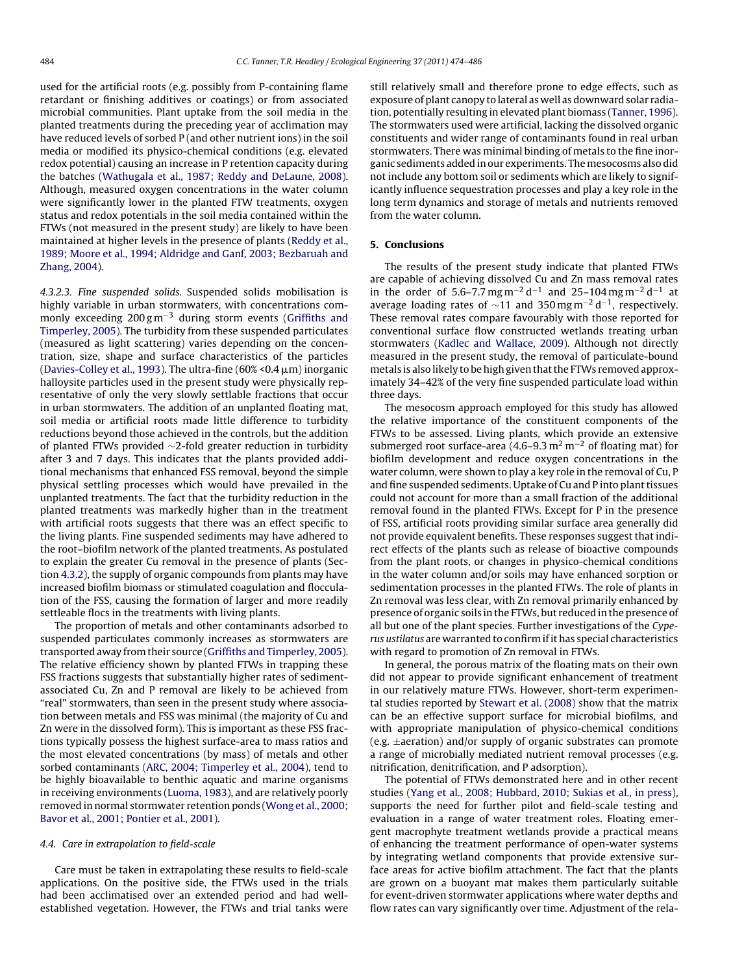used for the artificial roots (e.g. possibly from P-containing flame retardant or finishing additives or coatings) or from associated microbial communities. Plant uptake from the soil media in the planted treatments during the preceding year of acclimation may have reduced levels of sorbed P (and other nutrient ions) in the soil media or modified its physico-chemical conditions (e.g. elevated redox potential) causing an increase in P retention capacity during the batches ([Wathugala et al., 1987; Reddy and DeLaune, 2008\).](#page-12-0) Although, measured oxygen concentrations in the water column were significantly lower in the planted FTW treatments, oxygen status and redox potentials in the soil media contained within the FTWs (not measured in the present study) are likely to have been maintained at higher levels in the presence of plants ([Reddy et al.,](#page-12-0) [1989; Moore et al., 1994; Aldridge and Ganf, 2003; Bezbaruah and](#page-12-0) [Zhang, 2004\).](#page-12-0)

4.3.2.3. Fine suspended solids. Suspended solids mobilisation is highly variable in urban stormwaters, with concentrations com-monly exceeding 200 g m<sup>-3</sup> during storm events [\(Griffiths and](#page-12-0) [Timperley, 2005\).](#page-12-0) The turbidity from these suspended particulates (measured as light scattering) varies depending on the concentration, size, shape and surface characteristics of the particles ([Davies-Colley et al., 1993\).](#page-12-0) The ultra-fine (60% <0.4  $\mu$ m) inorganic halloysite particles used in the present study were physically representative of only the very slowly settlable fractions that occur in urban stormwaters. The addition of an unplanted floating mat, soil media or artificial roots made little difference to turbidity reductions beyond those achieved in the controls, but the addition of planted FTWs provided ∼2-fold greater reduction in turbidity after 3 and 7 days. This indicates that the plants provided additional mechanisms that enhanced FSS removal, beyond the simple physical settling processes which would have prevailed in the unplanted treatments. The fact that the turbidity reduction in the planted treatments was markedly higher than in the treatment with artificial roots suggests that there was an effect specific to the living plants. Fine suspended sediments may have adhered to the root–biofilm network of the planted treatments. As postulated to explain the greater Cu removal in the presence of plants (Section [4.3.2\),](#page-9-0) the supply of organic compounds from plants may have increased biofilm biomass or stimulated coagulation and flocculation of the FSS, causing the formation of larger and more readily settleable flocs in the treatments with living plants.

The proportion of metals and other contaminants adsorbed to suspended particulates commonly increases as stormwaters are transported away from their source [\(Griffiths and Timperley, 2005\).](#page-12-0) The relative efficiency shown by planted FTWs in trapping these FSS fractions suggests that substantially higher rates of sedimentassociated Cu, Zn and P removal are likely to be achieved from "real" stormwaters, than seen in the present study where association between metals and FSS was minimal (the majority of Cu and Zn were in the dissolved form). This is important as these FSS fractions typically possess the highest surface-area to mass ratios and the most elevated concentrations (by mass) of metals and other sorbed contaminants [\(ARC, 2004; Timperley et al., 2004\),](#page-12-0) tend to be highly bioavailable to benthic aquatic and marine organisms in receiving environments ([Luoma, 1983\),](#page-12-0) and are relatively poorly removed in normal stormwater retention ponds ([Wong et al., 2000;](#page-12-0) [Bavor et al., 2001; Pontier et al., 2001\).](#page-12-0)

#### 4.4. Care in extrapolation to field-scale

Care must be taken in extrapolating these results to field-scale applications. On the positive side, the FTWs used in the trials had been acclimatised over an extended period and had wellestablished vegetation. However, the FTWs and trial tanks were

still relatively small and therefore prone to edge effects, such as exposure of plant canopy to lateral as well as downward solar radiation, potentially resulting in elevated plant biomass ([Tanner, 1996\).](#page-12-0) The stormwaters used were artificial, lacking the dissolved organic constituents and wider range of contaminants found in real urban stormwaters. There was minimal binding of metals to the fine inorganic sediments added in our experiments. The mesocosms also did not include any bottom soil or sediments which are likely to significantly influence sequestration processes and play a key role in the long term dynamics and storage of metals and nutrients removed from the water column.

#### **5. Conclusions**

The results of the present study indicate that planted FTWs are capable of achieving dissolved Cu and Zn mass removal rates in the order of 5.6–7.7 mg m<sup>-2</sup> d<sup>-1</sup> and 25–104 mg m<sup>-2</sup> d<sup>-1</sup> at average loading rates of  $\sim$ 11 and 350 mg m<sup>-2</sup> d<sup>-1</sup>, respectively. These removal rates compare favourably with those reported for conventional surface flow constructed wetlands treating urban stormwaters [\(Kadlec and Wallace, 2009\).](#page-12-0) Although not directly measured in the present study, the removal of particulate-bound metals is also likely to be high given that the FTWs removed approximately 34–42% of the very fine suspended particulate load within three days.

The mesocosm approach employed for this study has allowed the relative importance of the constituent components of the FTWs to be assessed. Living plants, which provide an extensive submerged root surface-area (4.6–9.3 m<sup>2</sup> m<sup>-2</sup> of floating mat) for biofilm development and reduce oxygen concentrations in the water column, were shown to play a key role in the removal of Cu, P and fine suspended sediments. Uptake of Cu and P into plant tissues could not account for more than a small fraction of the additional removal found in the planted FTWs. Except for P in the presence of FSS, artificial roots providing similar surface area generally did not provide equivalent benefits. These responses suggest that indirect effects of the plants such as release of bioactive compounds from the plant roots, or changes in physico-chemical conditions in the water column and/or soils may have enhanced sorption or sedimentation processes in the planted FTWs. The role of plants in Zn removal was less clear, with Zn removal primarily enhanced by presence of organic soils in the FTWs, but reduced in the presence of all but one of the plant species. Further investigations of the Cyperus ustilatus are warranted to confirm if it has special characteristics with regard to promotion of Zn removal in FTWs.

In general, the porous matrix of the floating mats on their own did not appear to provide significant enhancement of treatment in our relatively mature FTWs. However, short-term experimental studies reported by [Stewart et al. \(2008\)](#page-12-0) show that the matrix can be an effective support surface for microbial biofilms, and with appropriate manipulation of physico-chemical conditions (e.g. ±aeration) and/or supply of organic substrates can promote a range of microbially mediated nutrient removal processes (e.g. nitrification, denitrification, and P adsorption).

The potential of FTWs demonstrated here and in other recent studies ([Yang et al., 2008; Hubbard, 2010; Sukias et al., in press\),](#page-12-0) supports the need for further pilot and field-scale testing and evaluation in a range of water treatment roles. Floating emergent macrophyte treatment wetlands provide a practical means of enhancing the treatment performance of open-water systems by integrating wetland components that provide extensive surface areas for active biofilm attachment. The fact that the plants are grown on a buoyant mat makes them particularly suitable for event-driven stormwater applications where water depths and flow rates can vary significantly over time. Adjustment of the rela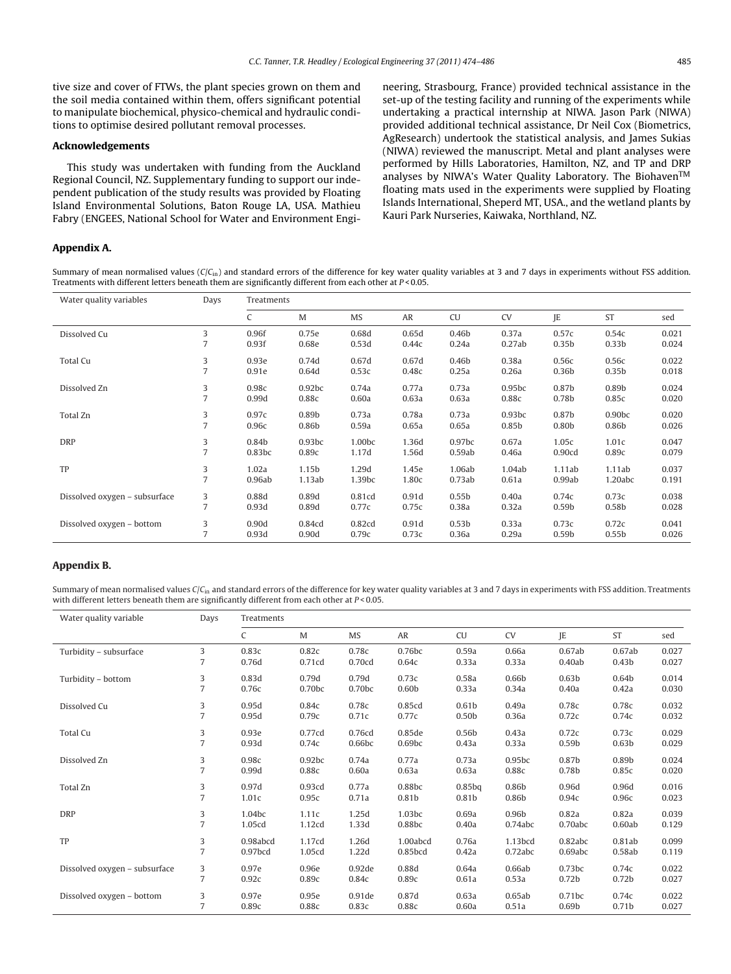<span id="page-11-0"></span>tive size and cover of FTWs, the plant species grown on them and the soil media contained within them, offers significant potential to manipulate biochemical, physico-chemical and hydraulic conditions to optimise desired pollutant removal processes.

### **Acknowledgements**

This study was undertaken with funding from the Auckland Regional Council, NZ. Supplementary funding to support our independent publication of the study results was provided by Floating Island Environmental Solutions, Baton Rouge LA, USA. Mathieu Fabry (ENGEES, National School for Water and Environment Engineering, Strasbourg, France) provided technical assistance in the set-up of the testing facility and running of the experiments while undertaking a practical internship at NIWA. Jason Park (NIWA) provided additional technical assistance, Dr Neil Cox (Biometrics, AgResearch) undertook the statistical analysis, and James Sukias (NIWA) reviewed the manuscript. Metal and plant analyses were performed by Hills Laboratories, Hamilton, NZ, and TP and DRP analyses by NIWA's Water Quality Laboratory. The Biohaven<sup>TM</sup> floating mats used in the experiments were supplied by Floating Islands International, Sheperd MT, USA., and the wetland plants by Kauri Park Nurseries, Kaiwaka, Northland, NZ.

### **Appendix A.**

Summary of mean normalised values ( $C/C_{\text{in}}$ ) and standard errors of the difference for key water quality variables at 3 and 7 days in experiments without FSS addition. Treatments with different letters beneath them are significantly different from each other at  $P < 0.05$ .

| Water quality variables       | Days           | Treatments         |                    |           |       |                    |                    |                   |                   |       |
|-------------------------------|----------------|--------------------|--------------------|-----------|-------|--------------------|--------------------|-------------------|-------------------|-------|
|                               |                | C                  | M                  | <b>MS</b> | AR    | <b>CU</b>          | <b>CV</b>          | JE                | <b>ST</b>         | sed   |
| Dissolved Cu                  | 3              | 0.96f              | 0.75e              | 0.68d     | 0.65d | 0.46 <sub>b</sub>  | 0.37a              | 0.57c             | 0.54c             | 0.021 |
|                               | 7              | 0.93f              | 0.68e              | 0.53d     | 0.44c | 0.24a              | 0.27ab             | 0.35 <sub>b</sub> | 0.33 <sub>b</sub> | 0.024 |
| Total Cu                      | 3              | 0.93e              | 0.74d              | 0.67d     | 0.67d | 0.46 <sub>b</sub>  | 0.38a              | 0.56c             | 0.56c             | 0.022 |
|                               | $\overline{7}$ | 0.91e              | 0.64d              | 0.53c     | 0.48c | 0.25a              | 0.26a              | 0.36 <sub>b</sub> | 0.35 <sub>b</sub> | 0.018 |
| Dissolved Zn                  | 3              | 0.98c              | 0.92 <sub>bc</sub> | 0.74a     | 0.77a | 0.73a              | 0.95 <sub>b</sub>  | 0.87 <sub>b</sub> | 0.89 <sub>b</sub> | 0.024 |
|                               | 7              | 0.99d              | 0.88c              | 0.60a     | 0.63a | 0.63a              | 0.88c              | 0.78 <sub>b</sub> | 0.85c             | 0.020 |
| Total Zn                      | 3              | 0.97c              | 0.89 <sub>b</sub>  | 0.73a     | 0.78a | 0.73a              | 0.93 <sub>bc</sub> | 0.87 <sub>b</sub> | 0.90 <sub>b</sub> | 0.020 |
|                               | 7              | 0.96с              | 0.86 <sub>b</sub>  | 0.59a     | 0.65a | 0.65a              | 0.85 <sub>b</sub>  | 0.80 <sub>b</sub> | 0.86 <sub>b</sub> | 0.026 |
| <b>DRP</b>                    | 3              | 0.84 <sub>b</sub>  | 0.93 <sub>bc</sub> | 1.00bc    | 1.36d | 0.97 <sub>bc</sub> | 0.67a              | 1.05c             | 1.01c             | 0.047 |
|                               | 7              | 0.83 <sub>bc</sub> | 0.89c              | 1.17d     | 1.56d | 0.59ab             | 0.46a              | 0.90cd            | 0.89c             | 0.079 |
| TP                            | 3              | 1.02a              | 1.15 <sub>b</sub>  | 1.29d     | 1.45e | 1.06ab             | 1.04ab             | 1.11ab            | 1.11ab            | 0.037 |
|                               | $\overline{7}$ | 0.96ab             | 1.13ab             | 1.39bc    | 1.80c | 0.73ab             | 0.61a              | 0.99ab            | 1.20abc           | 0.191 |
| Dissolved oxygen - subsurface | 3              | 0.88d              | 0.89d              | 0.81cd    | 0.91d | 0.55 <sub>b</sub>  | 0.40a              | 0.74c             | 0.73c             | 0.038 |
|                               | $\overline{7}$ | 0.93d              | 0.89d              | 0.77c     | 0.75c | 0.38a              | 0.32a              | 0.59 <sub>b</sub> | 0.58 <sub>b</sub> | 0.028 |
| Dissolved oxygen - bottom     | 3              | 0.90d              | 0.84cd             | 0.82cd    | 0.91d | 0.53 <sub>b</sub>  | 0.33a              | 0.73c             | 0.72c             | 0.041 |
|                               | $\overline{7}$ | 0.93d              | 0.90d              | 0.79c     | 0.73c | 0.36a              | 0.29a              | 0.59 <sub>b</sub> | 0.55 <sub>b</sub> | 0.026 |

### **Appendix B.**

Summary of mean normalised values  $C/C_{\text{in}}$  and standard errors of the difference for key water quality variables at 3 and 7 days in experiments with FSS addition. Treatments with different letters beneath them are significantly different from each other at  $P < 0.05$ .

| Water quality variable<br>Days |                | Treatments |                    |        |                    |                    |                   |                   |                   |       |
|--------------------------------|----------------|------------|--------------------|--------|--------------------|--------------------|-------------------|-------------------|-------------------|-------|
|                                |                | C          | M                  | MS     | AR                 | CU                 | <b>CV</b>         | JE                | <b>ST</b>         | sed   |
| Turbidity - subsurface         | 3              | 0.83c      | 0.82c              | 0.78c  | 0.76bc             | 0.59a              | 0.66a             | 0.67ab            | 0.67ab            | 0.027 |
|                                | 7              | 0.76d      | 0.71cd             | 0.70cd | 0.64c              | 0.33a              | 0.33a             | 0.40ab            | 0.43 <sub>b</sub> | 0.027 |
| Turbidity - bottom             | 3              | 0.83d      | 0.79d              | 0.79d  | 0.73c              | 0.58a              | 0.66 <sub>b</sub> | 0.63 <sub>b</sub> | 0.64 <sub>b</sub> | 0.014 |
|                                | $\overline{7}$ | 0.76c      | 0.70 <sub>bc</sub> | 0.70bc | 0.60 <sub>b</sub>  | 0.33a              | 0.34a             | 0.40a             | 0.42a             | 0.030 |
| Dissolved Cu                   | 3              | 0.95d      | 0.84c              | 0.78c  | 0.85cd             | 0.61 <sub>b</sub>  | 0.49a             | 0.78c             | 0.78c             | 0.032 |
|                                | $\overline{7}$ | 0.95d      | 0.79c              | 0.71c  | 0.77c              | 0.50 <sub>b</sub>  | 0.36a             | 0.72c             | 0.74c             | 0.032 |
| Total Cu                       | 3              | 0.93e      | 0.77cd             | 0.76cd | 0.85de             | 0.56 <sub>b</sub>  | 0.43a             | 0.72c             | 0.73c             | 0.029 |
|                                | $\overline{7}$ | 0.93d      | 0.74c              | 0.66bc | 0.69 <sub>bc</sub> | 0.43a              | 0.33a             | 0.59 <sub>b</sub> | 0.63 <sub>b</sub> | 0.029 |
| Dissolved Zn                   | 3              | 0.98c      | 0.92 <sub>bc</sub> | 0.74a  | 0.77a              | 0.73a              | 0.95bc            | 0.87 <sub>b</sub> | 0.89 <sub>b</sub> | 0.024 |
|                                | 7              | 0.99d      | 0.88c              | 0.60a  | 0.63a              | 0.63a              | 0.88c             | 0.78b             | 0.85c             | 0.020 |
| Total Zn                       | 3              | 0.97d      | 0.93cd             | 0.77a  | 0.88bc             | 0.85 <sub>bq</sub> | 0.86 <sub>b</sub> | 0.96d             | 0.96d             | 0.016 |
|                                | $\overline{7}$ | 1.01c      | 0.95c              | 0.71a  | 0.81b              | 0.81b              | 0.86b             | 0.94c             | 0.96c             | 0.023 |
| <b>DRP</b>                     | 3              | 1.04bc     | 1.11c              | 1.25d  | 1.03bc             | 0.69a              | 0.96 <sub>b</sub> | 0.82a             | 0.82a             | 0.039 |
|                                | $\overline{7}$ | 1.05cd     | 1.12cd             | 1.33d  | 0.88bc             | 0.40a              | 0.74abc           | 0.70abc           | 0.60ab            | 0.129 |
| TP                             | 3              | 0.98abcd   | 1.17cd             | 1.26d  | 1.00abcd           | 0.76a              | 1.13bcd           | 0.82abc           | 0.81ab            | 0.099 |
|                                | 7              | 0.97bcd    | 1.05cd             | 1.22d  | 0.85bcd            | 0.42a              | 0.72abc           | 0.69abc           | 0.58ab            | 0.119 |
| Dissolved oxygen - subsurface  | 3              | 0.97e      | 0.96e              | 0.92de | 0.88d              | 0.64a              | 0.66ab            | 0.73bc            | 0.74c             | 0.022 |
|                                | $\overline{7}$ | 0.92c      | 0.89c              | 0.84c  | 0.89c              | 0.61a              | 0.53a             | 0.72 <sub>b</sub> | 0.72 <sub>b</sub> | 0.027 |
| Dissolved oxygen - bottom      | 3              | 0.97e      | 0.95e              | 0.91de | 0.87d              | 0.63a              | 0.65ab            | 0.71bc            | 0.74c             | 0.022 |
|                                | $\overline{7}$ | 0.89c      | 0.88c              | 0.83c  | 0.88c              | 0.60a              | 0.51a             | 0.69 <sub>b</sub> | 0.71 <sub>b</sub> | 0.027 |